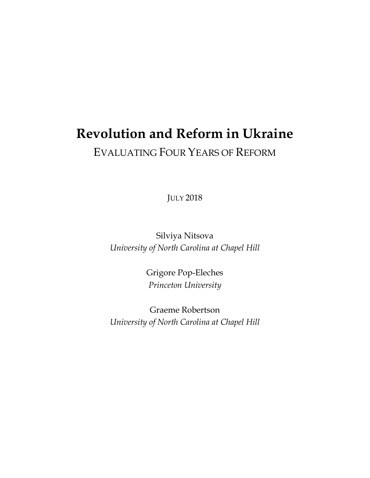# **Revolution and Reform in Ukraine** EVALUATING FOUR YEARS OF REFORM

JULY 2018

Silviya Nitsova *University of North Carolina at Chapel Hill*

> Grigore Pop-Eleches *Princeton University*

Graeme Robertson *University of North Carolina at Chapel Hill*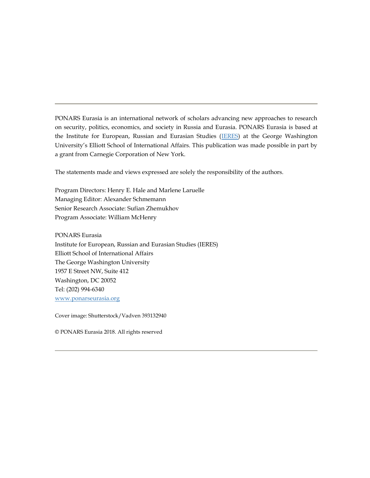PONARS Eurasia is an international network of scholars advancing new approaches to research on security, politics, economics, and society in Russia and Eurasia. PONARS Eurasia is based at the Institute for European, Russian and Eurasian Studies [\(IERES\)](http://www.gwu.edu/~ieresgwu/) at the George Washington University's Elliott School of International Affairs. This publication was made possible in part by a grant from Carnegie Corporation of New York.

The statements made and views expressed are solely the responsibility of the authors.

Program Directors: Henry E. Hale and Marlene Laruelle Managing Editor: Alexander Schmemann Senior Research Associate: Sufian Zhemukhov Program Associate: William McHenry

PONARS Eurasia

Institute for European, Russian and Eurasian Studies (IERES) Elliott School of International Affairs The George Washington University 1957 E Street NW, Suite 412 Washington, DC 20052 Tel: (202) 994-6340 [www.ponarseurasia.org](http://www.ponarseurasia.org/)

Cover image: Shutterstock/Vadven 393132940

© PONARS Eurasia 2018. All rights reserved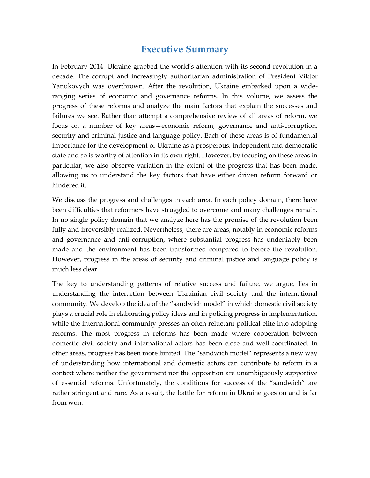### **Executive Summary**

In February 2014, Ukraine grabbed the world's attention with its second revolution in a decade. The corrupt and increasingly authoritarian administration of President Viktor Yanukovych was overthrown. After the revolution, Ukraine embarked upon a wideranging series of economic and governance reforms. In this volume, we assess the progress of these reforms and analyze the main factors that explain the successes and failures we see. Rather than attempt a comprehensive review of all areas of reform, we focus on a number of key areas—economic reform, governance and anti-corruption, security and criminal justice and language policy. Each of these areas is of fundamental importance for the development of Ukraine as a prosperous, independent and democratic state and so is worthy of attention in its own right. However, by focusing on these areas in particular, we also observe variation in the extent of the progress that has been made, allowing us to understand the key factors that have either driven reform forward or hindered it.

We discuss the progress and challenges in each area. In each policy domain, there have been difficulties that reformers have struggled to overcome and many challenges remain. In no single policy domain that we analyze here has the promise of the revolution been fully and irreversibly realized. Nevertheless, there are areas, notably in economic reforms and governance and anti-corruption, where substantial progress has undeniably been made and the environment has been transformed compared to before the revolution. However, progress in the areas of security and criminal justice and language policy is much less clear.

The key to understanding patterns of relative success and failure, we argue, lies in understanding the interaction between Ukrainian civil society and the international community. We develop the idea of the "sandwich model" in which domestic civil society plays a crucial role in elaborating policy ideas and in policing progress in implementation, while the international community presses an often reluctant political elite into adopting reforms. The most progress in reforms has been made where cooperation between domestic civil society and international actors has been close and well-coordinated. In other areas, progress has been more limited. The "sandwich model" represents a new way of understanding how international and domestic actors can contribute to reform in a context where neither the government nor the opposition are unambiguously supportive of essential reforms. Unfortunately, the conditions for success of the "sandwich" are rather stringent and rare. As a result, the battle for reform in Ukraine goes on and is far from won.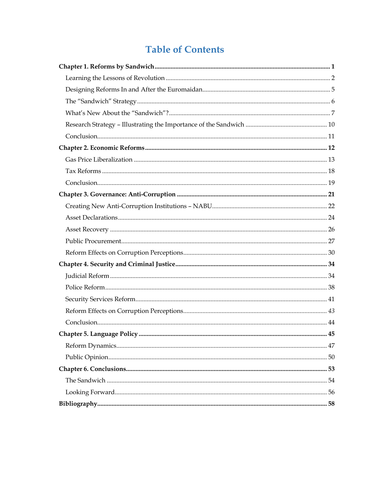## **Table of Contents**

<span id="page-4-0"></span>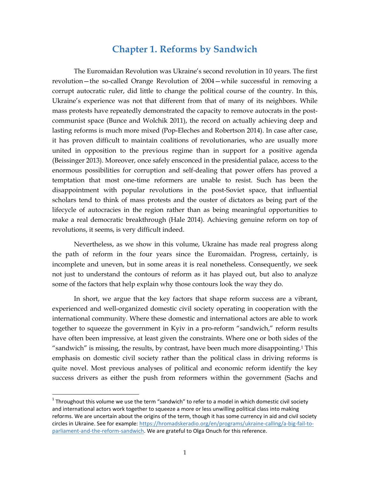### **Chapter 1. Reforms by Sandwich**

The Euromaidan Revolution was Ukraine's second revolution in 10 years. The first revolution—the so-called Orange Revolution of 2004—while successful in removing a corrupt autocratic ruler, did little to change the political course of the country. In this, Ukraine's experience was not that different from that of many of its neighbors. While mass protests have repeatedly demonstrated the capacity to remove autocrats in the postcommunist space (Bunce and Wolchik 2011), the record on actually achieving deep and lasting reforms is much more mixed (Pop-Eleches and Robertson 2014). In case after case, it has proven difficult to maintain coalitions of revolutionaries, who are usually more united in opposition to the previous regime than in support for a positive agenda (Beissinger 2013). Moreover, once safely ensconced in the presidential palace, access to the enormous possibilities for corruption and self-dealing that power offers has proved a temptation that most one-time reformers are unable to resist. Such has been the disappointment with popular revolutions in the post-Soviet space, that influential scholars tend to think of mass protests and the ouster of dictators as being part of the lifecycle of autocracies in the region rather than as being meaningful opportunities to make a real democratic breakthrough (Hale 2014). Achieving genuine reform on top of revolutions, it seems, is very difficult indeed.

Nevertheless, as we show in this volume, Ukraine has made real progress along the path of reform in the four years since the Euromaidan. Progress, certainly, is incomplete and uneven, but in some areas it is real nonetheless. Consequently, we seek not just to understand the contours of reform as it has played out, but also to analyze some of the factors that help explain why those contours look the way they do.

In short, we argue that the key factors that shape reform success are a vibrant, experienced and well-organized domestic civil society operating in cooperation with the international community. Where these domestic and international actors are able to work together to squeeze the government in Kyiv in a pro-reform "sandwich," reform results have often been impressive, at least given the constraints. Where one or both sides of the "sandwich" is missing, the results, by contrast, have been much more disappointing.<sup>1</sup> This emphasis on domestic civil society rather than the political class in driving reforms is quite novel. Most previous analyses of political and economic reform identify the key success drivers as either the push from reformers within the government (Sachs and

 $1$  Throughout this volume we use the term "sandwich" to refer to a model in which domestic civil society and international actors work together to squeeze a more or less unwilling political class into making reforms. We are uncertain about the origins of the term, though it has some currency in aid and civil society circles in Ukraine. See for example: [https://hromadskeradio.org/en/programs/ukraine-calling/a-big-fail-to](https://hromadskeradio.org/en/programs/ukraine-calling/a-big-fail-to-parliament-and-the-reform-sandwich)[parliament-and-the-reform-sandwich.](https://hromadskeradio.org/en/programs/ukraine-calling/a-big-fail-to-parliament-and-the-reform-sandwich) We are grateful to Olga Onuch for this reference.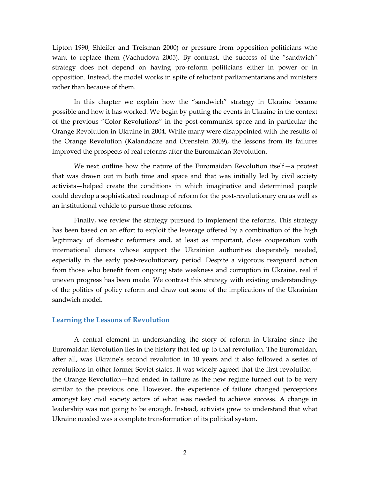Lipton 1990, Shleifer and Treisman 2000) or pressure from opposition politicians who want to replace them (Vachudova 2005). By contrast, the success of the "sandwich" strategy does not depend on having pro-reform politicians either in power or in opposition. Instead, the model works in spite of reluctant parliamentarians and ministers rather than because of them.

In this chapter we explain how the "sandwich" strategy in Ukraine became possible and how it has worked. We begin by putting the events in Ukraine in the context of the previous "Color Revolutions" in the post-communist space and in particular the Orange Revolution in Ukraine in 2004. While many were disappointed with the results of the Orange Revolution (Kalandadze and Orenstein 2009), the lessons from its failures improved the prospects of real reforms after the Euromaidan Revolution.

We next outline how the nature of the Euromaidan Revolution itself - a protest that was drawn out in both time and space and that was initially led by civil society activists—helped create the conditions in which imaginative and determined people could develop a sophisticated roadmap of reform for the post-revolutionary era as well as an institutional vehicle to pursue those reforms.

Finally, we review the strategy pursued to implement the reforms. This strategy has been based on an effort to exploit the leverage offered by a combination of the high legitimacy of domestic reformers and, at least as important, close cooperation with international donors whose support the Ukrainian authorities desperately needed, especially in the early post-revolutionary period. Despite a vigorous rearguard action from those who benefit from ongoing state weakness and corruption in Ukraine, real if uneven progress has been made. We contrast this strategy with existing understandings of the politics of policy reform and draw out some of the implications of the Ukrainian sandwich model.

#### <span id="page-6-0"></span>**Learning the Lessons of Revolution**

A central element in understanding the story of reform in Ukraine since the Euromaidan Revolution lies in the history that led up to that revolution. The Euromaidan, after all, was Ukraine's second revolution in 10 years and it also followed a series of revolutions in other former Soviet states. It was widely agreed that the first revolution the Orange Revolution—had ended in failure as the new regime turned out to be very similar to the previous one. However, the experience of failure changed perceptions amongst key civil society actors of what was needed to achieve success. A change in leadership was not going to be enough. Instead, activists grew to understand that what Ukraine needed was a complete transformation of its political system.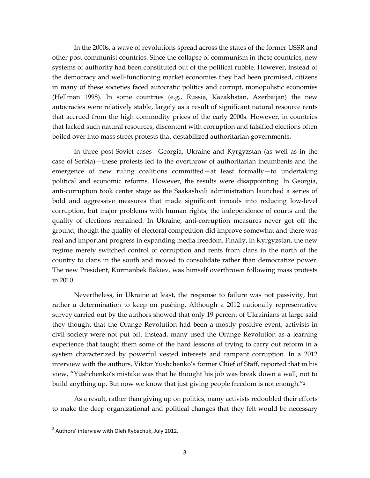In the 2000s, a wave of revolutions spread across the states of the former USSR and other post-communist countries. Since the collapse of communism in these countries, new systems of authority had been constituted out of the political rubble. However, instead of the democracy and well-functioning market economies they had been promised, citizens in many of these societies faced autocratic politics and corrupt, monopolistic economies (Hellman 1998). In some countries (e.g., Russia, Kazakhstan, Azerbaijan) the new autocracies were relatively stable, largely as a result of significant natural resource rents that accrued from the high commodity prices of the early 2000s. However, in countries that lacked such natural resources, discontent with corruption and falsified elections often boiled over into mass street protests that destabilized authoritarian governments.

In three post-Soviet cases—Georgia, Ukraine and Kyrgyzstan (as well as in the case of Serbia)—these protests led to the overthrow of authoritarian incumbents and the emergence of new ruling coalitions committed—at least formally—to undertaking political and economic reforms. However, the results were disappointing. In Georgia, anti-corruption took center stage as the Saakashvili administration launched a series of bold and aggressive measures that made significant inroads into reducing low-level corruption, but major problems with human rights, the independence of courts and the quality of elections remained. In Ukraine, anti-corruption measures never got off the ground, though the quality of electoral competition did improve somewhat and there was real and important progress in expanding media freedom. Finally, in Kyrgyzstan, the new regime merely switched control of corruption and rents from clans in the north of the country to clans in the south and moved to consolidate rather than democratize power. The new President, Kurmanbek Bakiev, was himself overthrown following mass protests in 2010.

Nevertheless, in Ukraine at least, the response to failure was not passivity, but rather a determination to keep on pushing. Although a 2012 nationally representative survey carried out by the authors showed that only 19 percent of Ukrainians at large said they thought that the Orange Revolution had been a mostly positive event, activists in civil society were not put off. Instead, many used the Orange Revolution as a learning experience that taught them some of the hard lessons of trying to carry out reform in a system characterized by powerful vested interests and rampant corruption. In a 2012 interview with the authors, Viktor Yushchenko's former Chief of Staff, reported that in his view, "Yushchenko's mistake was that he thought his job was break down a wall, not to build anything up. But now we know that just giving people freedom is not enough."<sup>2</sup>

As a result, rather than giving up on politics, many activists redoubled their efforts to make the deep organizational and political changes that they felt would be necessary

 $2$  Authors' interview with Oleh Rybachuk, July 2012.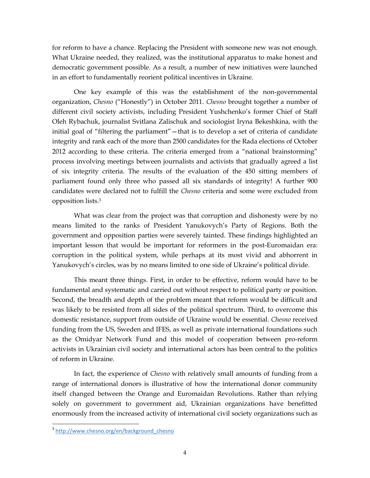for reform to have a chance. Replacing the President with someone new was not enough. What Ukraine needed, they realized, was the institutional apparatus to make honest and democratic government possible. As a result, a number of new initiatives were launched in an effort to fundamentally reorient political incentives in Ukraine.

One key example of this was the establishment of the non-governmental organization, *Chesno* ("Honestly") in October 2011. *Chesno* brought together a number of different civil society activists, including President Yushchenko's former Chief of Staff Oleh Rybachuk, journalist Svitlana Zalischuk and sociologist Iryna Bekeshkina, with the initial goal of "filtering the parliament"—that is to develop a set of criteria of candidate integrity and rank each of the more than 2500 candidates for the Rada elections of October 2012 according to these criteria. The criteria emerged from a "national brainstorming" process involving meetings between journalists and activists that gradually agreed a list of six integrity criteria. The results of the evaluation of the 450 sitting members of parliament found only three who passed all six standards of integrity! A further 900 candidates were declared not to fulfill the *Chesno* criteria and some were excluded from opposition lists.<sup>3</sup>

What was clear from the project was that corruption and dishonesty were by no means limited to the ranks of President Yanukovych's Party of Regions. Both the government and opposition parties were severely tainted. These findings highlighted an important lesson that would be important for reformers in the post-Euromaidan era: corruption in the political system, while perhaps at its most vivid and abhorrent in Yanukovych's circles, was by no means limited to one side of Ukraine's political divide.

This meant three things. First, in order to be effective, reform would have to be fundamental and systematic and carried out without respect to political party or position. Second, the breadth and depth of the problem meant that reform would be difficult and was likely to be resisted from all sides of the political spectrum. Third, to overcome this domestic resistance, support from outside of Ukraine would be essential. *Chesno* received funding from the US, Sweden and IFES, as well as private international foundations such as the Omidyar Network Fund and this model of cooperation between pro-reform activists in Ukrainian civil society and international actors has been central to the politics of reform in Ukraine.

In fact, the experience of *Chesno* with relatively small amounts of funding from a range of international donors is illustrative of how the international donor community itself changed between the Orange and Euromaidan Revolutions. Rather than relying solely on government to government aid, Ukrainian organizations have benefitted enormously from the increased activity of international civil society organizations such as

<sup>&</sup>lt;sup>3</sup> http://www.chesno.org/en/background chesno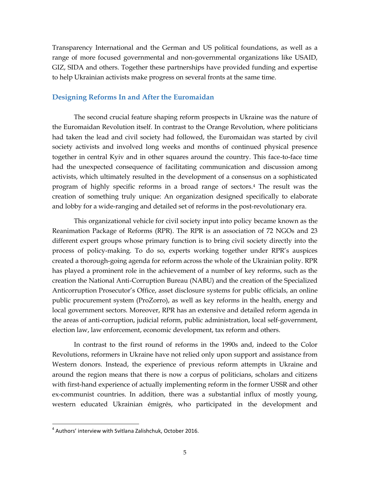Transparency International and the German and US political foundations, as well as a range of more focused governmental and non-governmental organizations like USAID, GIZ, SIDA and others. Together these partnerships have provided funding and expertise to help Ukrainian activists make progress on several fronts at the same time.

#### <span id="page-9-0"></span>**Designing Reforms In and After the Euromaidan**

The second crucial feature shaping reform prospects in Ukraine was the nature of the Euromaidan Revolution itself. In contrast to the Orange Revolution, where politicians had taken the lead and civil society had followed, the Euromaidan was started by civil society activists and involved long weeks and months of continued physical presence together in central Kyiv and in other squares around the country. This face-to-face time had the unexpected consequence of facilitating communication and discussion among activists, which ultimately resulted in the development of a consensus on a sophisticated program of highly specific reforms in a broad range of sectors.<sup>4</sup> The result was the creation of something truly unique: An organization designed specifically to elaborate and lobby for a wide-ranging and detailed set of reforms in the post-revolutionary era.

This organizational vehicle for civil society input into policy became known as the Reanimation Package of Reforms (RPR). The RPR is an association of 72 NGOs and 23 different expert groups whose primary function is to bring civil society directly into the process of policy-making. To do so, experts working together under RPR's auspices created a thorough-going agenda for reform across the whole of the Ukrainian polity. RPR has played a prominent role in the achievement of a number of key reforms, such as the creation the National Anti-Corruption Bureau (NABU) and the creation of the Specialized Anticorruption Prosecutor's Office, asset disclosure systems for public officials, an online public procurement system (ProZorro), as well as key reforms in the health, energy and local government sectors. Moreover, RPR has an extensive and detailed reform agenda in the areas of anti-corruption, judicial reform, public administration, local self-government, election law, law enforcement, economic development, tax reform and others.

In contrast to the first round of reforms in the 1990s and, indeed to the Color Revolutions, reformers in Ukraine have not relied only upon support and assistance from Western donors. Instead, the experience of previous reform attempts in Ukraine and around the region means that there is now a corpus of politicians, scholars and citizens with first-hand experience of actually implementing reform in the former USSR and other ex-communist countries. In addition, there was a substantial influx of mostly young, western educated Ukrainian émigrés, who participated in the development and

<sup>4</sup> Authors' interview with Svitlana Zalishchuk, October 2016.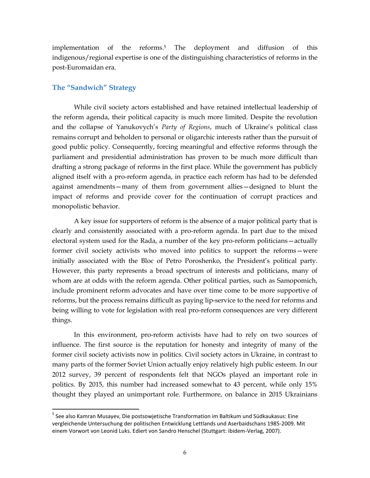implementation of the reforms.<sup>5</sup> The deployment and diffusion of this indigenous/regional expertise is one of the distinguishing characteristics of reforms in the post-Euromaidan era.

#### <span id="page-10-0"></span>**The "Sandwich" Strategy**

 $\overline{a}$ 

While civil society actors established and have retained intellectual leadership of the reform agenda, their political capacity is much more limited. Despite the revolution and the collapse of Yanukovych's *Party of Regions*, much of Ukraine's political class remains corrupt and beholden to personal or oligarchic interests rather than the pursuit of good public policy. Consequently, forcing meaningful and effective reforms through the parliament and presidential administration has proven to be much more difficult than drafting a strong package of reforms in the first place. While the government has publicly aligned itself with a pro-reform agenda, in practice each reform has had to be defended against amendments—many of them from government allies—designed to blunt the impact of reforms and provide cover for the continuation of corrupt practices and monopolistic behavior.

A key issue for supporters of reform is the absence of a major political party that is clearly and consistently associated with a pro-reform agenda. In part due to the mixed electoral system used for the Rada, a number of the key pro-reform politicians—actually former civil society activists who moved into politics to support the reforms—were initially associated with the Bloc of Petro Poroshenko, the President's political party. However, this party represents a broad spectrum of interests and politicians, many of whom are at odds with the reform agenda. Other political parties, such as Samopomich, include prominent reform advocates and have over time come to be more supportive of reforms, but the process remains difficult as paying lip-service to the need for reforms and being willing to vote for legislation with real pro-reform consequences are very different things.

In this environment, pro-reform activists have had to rely on two sources of influence. The first source is the reputation for honesty and integrity of many of the former civil society activists now in politics. Civil society actors in Ukraine, in contrast to many parts of the former Soviet Union actually enjoy relatively high public esteem. In our 2012 survey, 39 percent of respondents felt that NGOs played an important role in politics. By 2015, this number had increased somewhat to 43 percent, while only 15% thought they played an unimportant role. Furthermore, on balance in 2015 Ukrainians

<sup>&</sup>lt;sup>5</sup> See also Kamran Musayev, Die postsowjetische Transformation im Baltikum und Südkaukasus: Eine vergleichende Untersuchung der politischen Entwicklung Lettlands und Aserbaidschans 1985-2009. Mit einem Vorwort von Leonid Luks. Ediert von Sandro Henschel (Stuttgart: ibidem-Verlag, 2007).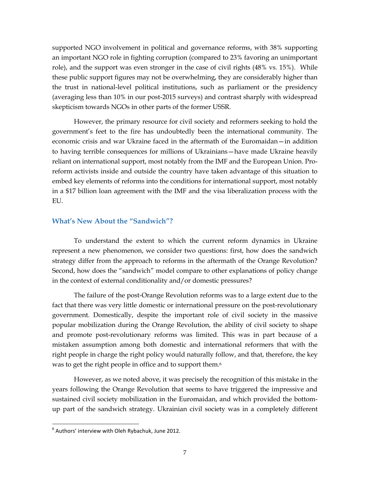supported NGO involvement in political and governance reforms, with 38% supporting an important NGO role in fighting corruption (compared to 23% favoring an unimportant role), and the support was even stronger in the case of civil rights (48% vs. 15%). While these public support figures may not be overwhelming, they are considerably higher than the trust in national-level political institutions, such as parliament or the presidency (averaging less than 10% in our post-2015 surveys) and contrast sharply with widespread skepticism towards NGOs in other parts of the former USSR.

However, the primary resource for civil society and reformers seeking to hold the government's feet to the fire has undoubtedly been the international community. The economic crisis and war Ukraine faced in the aftermath of the Euromaidan—in addition to having terrible consequences for millions of Ukrainians—have made Ukraine heavily reliant on international support, most notably from the IMF and the European Union. Proreform activists inside and outside the country have taken advantage of this situation to embed key elements of reforms into the conditions for international support, most notably in a \$17 billion loan agreement with the IMF and the visa liberalization process with the EU.

#### <span id="page-11-0"></span>**What's New About the "Sandwich"?**

To understand the extent to which the current reform dynamics in Ukraine represent a new phenomenon, we consider two questions: first, how does the sandwich strategy differ from the approach to reforms in the aftermath of the Orange Revolution? Second, how does the "sandwich" model compare to other explanations of policy change in the context of external conditionality and/or domestic pressures?

The failure of the post-Orange Revolution reforms was to a large extent due to the fact that there was very little domestic or international pressure on the post-revolutionary government. Domestically, despite the important role of civil society in the massive popular mobilization during the Orange Revolution, the ability of civil society to shape and promote post-revolutionary reforms was limited. This was in part because of a mistaken assumption among both domestic and international reformers that with the right people in charge the right policy would naturally follow, and that, therefore, the key was to get the right people in office and to support them. 6

However, as we noted above, it was precisely the recognition of this mistake in the years following the Orange Revolution that seems to have triggered the impressive and sustained civil society mobilization in the Euromaidan, and which provided the bottomup part of the sandwich strategy. Ukrainian civil society was in a completely different

 $<sup>6</sup>$  Authors' interview with Oleh Rybachuk, June 2012.</sup>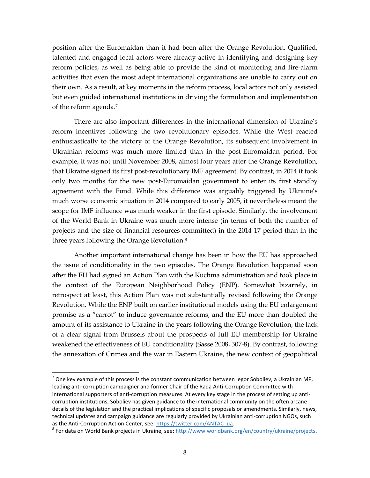position after the Euromaidan than it had been after the Orange Revolution. Qualified, talented and engaged local actors were already active in identifying and designing key reform policies, as well as being able to provide the kind of monitoring and fire-alarm activities that even the most adept international organizations are unable to carry out on their own. As a result, at key moments in the reform process, local actors not only assisted but even guided international institutions in driving the formulation and implementation of the reform agenda.<sup>7</sup>

There are also important differences in the international dimension of Ukraine's reform incentives following the two revolutionary episodes. While the West reacted enthusiastically to the victory of the Orange Revolution, its subsequent involvement in Ukrainian reforms was much more limited than in the post-Euromaidan period. For example, it was not until November 2008, almost four years after the Orange Revolution, that Ukraine signed its first post-revolutionary IMF agreement. By contrast, in 2014 it took only two months for the new post-Euromaidan government to enter its first standby agreement with the Fund. While this difference was arguably triggered by Ukraine's much worse economic situation in 2014 compared to early 2005, it nevertheless meant the scope for IMF influence was much weaker in the first episode. Similarly, the involvement of the World Bank in Ukraine was much more intense (in terms of both the number of projects and the size of financial resources committed) in the 2014-17 period than in the three years following the Orange Revolution.<sup>8</sup>

Another important international change has been in how the EU has approached the issue of conditionality in the two episodes. The Orange Revolution happened soon after the EU had signed an Action Plan with the Kuchma administration and took place in the context of the European Neighborhood Policy (ENP). Somewhat bizarrely, in retrospect at least, this Action Plan was not substantially revised following the Orange Revolution. While the ENP built on earlier institutional models using the EU enlargement promise as a "carrot" to induce governance reforms, and the EU more than doubled the amount of its assistance to Ukraine in the years following the Orange Revolution, the lack of a clear signal from Brussels about the prospects of full EU membership for Ukraine weakened the effectiveness of EU conditionality (Sasse 2008, 307-8). By contrast, following the annexation of Crimea and the war in Eastern Ukraine, the new context of geopolitical

The key example of this process is the constant communication between legor Soboliev, a Ukrainian MP,  $^7$  One key example of this process is the constant communication between legor Soboliev, a Ukrainian MP, leading anti-corruption campaigner and former Chair of the Rada Anti-Corruption Committee with international supporters of anti-corruption measures. At every key stage in the process of setting up anticorruption institutions, Soboliev has given guidance to the international community on the often arcane details of the legislation and the practical implications of specific proposals or amendments. Similarly, news, technical updates and campaign guidance are regularly provided by Ukrainian anti-corruption NGOs, such as the Anti-Corruption Action Center, see: [https://twitter.com/ANTAC\\_ua.](https://twitter.com/ANTAC_ua)

<sup>&</sup>lt;sup>8</sup> For data on World Bank projects in Ukraine, see: [http://www.worldbank.org/en/country/ukraine/projects.](http://www.worldbank.org/en/country/ukraine/projects)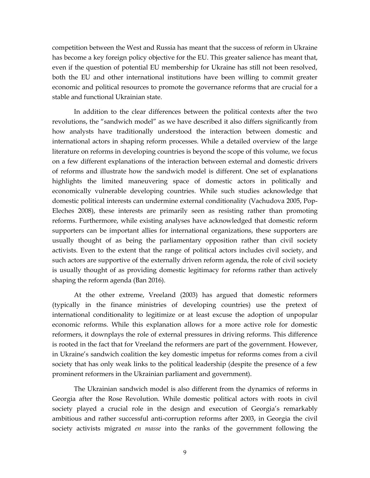competition between the West and Russia has meant that the success of reform in Ukraine has become a key foreign policy objective for the EU. This greater salience has meant that, even if the question of potential EU membership for Ukraine has still not been resolved, both the EU and other international institutions have been willing to commit greater economic and political resources to promote the governance reforms that are crucial for a stable and functional Ukrainian state.

In addition to the clear differences between the political contexts after the two revolutions, the "sandwich model" as we have described it also differs significantly from how analysts have traditionally understood the interaction between domestic and international actors in shaping reform processes. While a detailed overview of the large literature on reforms in developing countries is beyond the scope of this volume, we focus on a few different explanations of the interaction between external and domestic drivers of reforms and illustrate how the sandwich model is different. One set of explanations highlights the limited maneuvering space of domestic actors in politically and economically vulnerable developing countries. While such studies acknowledge that domestic political interests can undermine external conditionality (Vachudova 2005, Pop-Eleches 2008), these interests are primarily seen as resisting rather than promoting reforms. Furthermore, while existing analyses have acknowledged that domestic reform supporters can be important allies for international organizations, these supporters are usually thought of as being the parliamentary opposition rather than civil society activists. Even to the extent that the range of political actors includes civil society, and such actors are supportive of the externally driven reform agenda, the role of civil society is usually thought of as providing domestic legitimacy for reforms rather than actively shaping the reform agenda (Ban 2016).

At the other extreme, Vreeland (2003) has argued that domestic reformers (typically in the finance ministries of developing countries) use the pretext of international conditionality to legitimize or at least excuse the adoption of unpopular economic reforms. While this explanation allows for a more active role for domestic reformers, it downplays the role of external pressures in driving reforms. This difference is rooted in the fact that for Vreeland the reformers are part of the government. However, in Ukraine's sandwich coalition the key domestic impetus for reforms comes from a civil society that has only weak links to the political leadership (despite the presence of a few prominent reformers in the Ukrainian parliament and government).

The Ukrainian sandwich model is also different from the dynamics of reforms in Georgia after the Rose Revolution. While domestic political actors with roots in civil society played a crucial role in the design and execution of Georgia's remarkably ambitious and rather successful anti-corruption reforms after 2003, in Georgia the civil society activists migrated *en masse* into the ranks of the government following the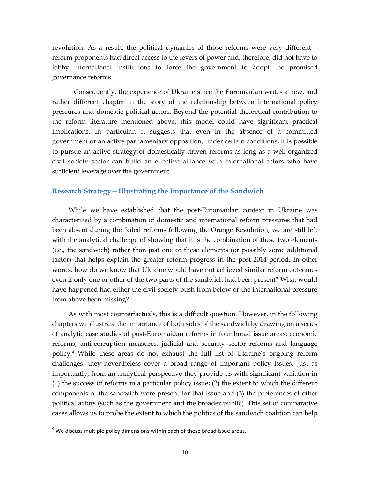revolution. As a result, the political dynamics of those reforms were very different reform proponents had direct access to the levers of power and, therefore, did not have to lobby international institutions to force the government to adopt the promised governance reforms.

Consequently, the experience of Ukraine since the Euromaidan writes a new, and rather different chapter in the story of the relationship between international policy pressures and domestic political actors. Beyond the potential theoretical contribution to the reform literature mentioned above, this model could have significant practical implications. In particular, it suggests that even in the absence of a committed government or an active parliamentary opposition, under certain conditions, it is possible to pursue an active strategy of domestically driven reforms as long as a well-organized civil society sector can build an effective alliance with international actors who have sufficient leverage over the government.

#### <span id="page-14-0"></span>**Research Strategy—Illustrating the Importance of the Sandwich**

While we have established that the post-Euromaidan context in Ukraine was characterized by a combination of domestic and international reform pressures that had been absent during the failed reforms following the Orange Revolution, we are still left with the analytical challenge of showing that it is the combination of these two elements (i.e., the sandwich) rather than just one of these elements (or possibly some additional factor) that helps explain the greater reform progress in the post-2014 period. In other words, how do we know that Ukraine would have not achieved similar reform outcomes even if only one or other of the two parts of the sandwich had been present? What would have happened had either the civil society push from below or the international pressure from above been missing?

As with most counterfactuals, this is a difficult question. However, in the following chapters we illustrate the importance of both sides of the sandwich by drawing on a series of analytic case studies of post-Euromaidan reforms in four broad issue areas: economic reforms, anti-corruption measures, judicial and security sector reforms and language policy.<sup>9</sup> While these areas do not exhaust the full list of Ukraine's ongoing reform challenges, they nevertheless cover a broad range of important policy issues. Just as importantly, from an analytical perspective they provide us with significant variation in (1) the success of reforms in a particular policy issue; (2) the extent to which the different components of the sandwich were present for that issue and (3) the preferences of other political actors (such as the government and the broader public). This set of comparative cases allows us to probe the extent to which the politics of the sandwich coalition can help

 $9$  We discuss multiple policy dimensions within each of these broad issue areas.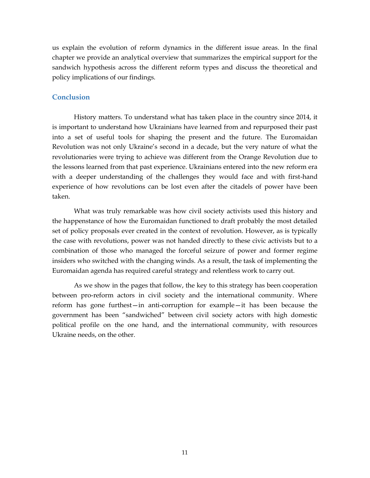us explain the evolution of reform dynamics in the different issue areas. In the final chapter we provide an analytical overview that summarizes the empirical support for the sandwich hypothesis across the different reform types and discuss the theoretical and policy implications of our findings.

#### <span id="page-15-0"></span>**Conclusion**

History matters. To understand what has taken place in the country since 2014, it is important to understand how Ukrainians have learned from and repurposed their past into a set of useful tools for shaping the present and the future. The Euromaidan Revolution was not only Ukraine's second in a decade, but the very nature of what the revolutionaries were trying to achieve was different from the Orange Revolution due to the lessons learned from that past experience. Ukrainians entered into the new reform era with a deeper understanding of the challenges they would face and with first-hand experience of how revolutions can be lost even after the citadels of power have been taken.

What was truly remarkable was how civil society activists used this history and the happenstance of how the Euromaidan functioned to draft probably the most detailed set of policy proposals ever created in the context of revolution. However, as is typically the case with revolutions, power was not handed directly to these civic activists but to a combination of those who managed the forceful seizure of power and former regime insiders who switched with the changing winds. As a result, the task of implementing the Euromaidan agenda has required careful strategy and relentless work to carry out.

<span id="page-15-1"></span>As we show in the pages that follow, the key to this strategy has been cooperation between pro-reform actors in civil society and the international community. Where reform has gone furthest—in anti-corruption for example—it has been because the government has been "sandwiched" between civil society actors with high domestic political profile on the one hand, and the international community, with resources Ukraine needs, on the other.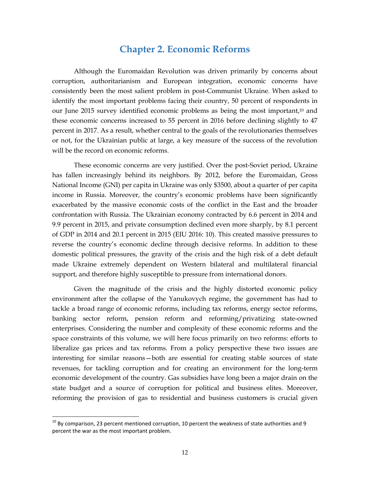### **Chapter 2. Economic Reforms**

Although the Euromaidan Revolution was driven primarily by concerns about corruption, authoritarianism and European integration, economic concerns have consistently been the most salient problem in post-Communist Ukraine. When asked to identify the most important problems facing their country, 50 percent of respondents in our June 2015 survey identified economic problems as being the most important, <sup>10</sup> and these economic concerns increased to 55 percent in 2016 before declining slightly to 47 percent in 2017. As a result, whether central to the goals of the revolutionaries themselves or not, for the Ukrainian public at large, a key measure of the success of the revolution will be the record on economic reforms.

These economic concerns are very justified. Over the post-Soviet period, Ukraine has fallen increasingly behind its neighbors. By 2012, before the Euromaidan, Gross National Income (GNI) per capita in Ukraine was only \$3500, about a quarter of per capita income in Russia. Moreover, the country's economic problems have been significantly exacerbated by the massive economic costs of the conflict in the East and the broader confrontation with Russia. The Ukrainian economy contracted by 6.6 percent in 2014 and 9.9 percent in 2015, and private consumption declined even more sharply, by 8.1 percent of GDP in 2014 and 20.1 percent in 2015 (EIU 2016: 10). This created massive pressures to reverse the country's economic decline through decisive reforms. In addition to these domestic political pressures, the gravity of the crisis and the high risk of a debt default made Ukraine extremely dependent on Western bilateral and multilateral financial support, and therefore highly susceptible to pressure from international donors.

Given the magnitude of the crisis and the highly distorted economic policy environment after the collapse of the Yanukovych regime, the government has had to tackle a broad range of economic reforms, including tax reforms, energy sector reforms, banking sector reform, pension reform and reforming/privatizing state-owned enterprises. Considering the number and complexity of these economic reforms and the space constraints of this volume, we will here focus primarily on two reforms: efforts to liberalize gas prices and tax reforms. From a policy perspective these two issues are interesting for similar reasons—both are essential for creating stable sources of state revenues, for tackling corruption and for creating an environment for the long-term economic development of the country. Gas subsidies have long been a major drain on the state budget and a source of corruption for political and business elites. Moreover, reforming the provision of gas to residential and business customers is crucial given

 $10$  By comparison, 23 percent mentioned corruption, 10 percent the weakness of state authorities and 9 percent the war as the most important problem.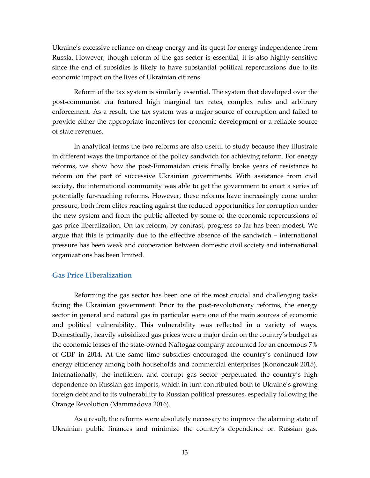Ukraine's excessive reliance on cheap energy and its quest for energy independence from Russia. However, though reform of the gas sector is essential, it is also highly sensitive since the end of subsidies is likely to have substantial political repercussions due to its economic impact on the lives of Ukrainian citizens.

Reform of the tax system is similarly essential. The system that developed over the post-communist era featured high marginal tax rates, complex rules and arbitrary enforcement. As a result, the tax system was a major source of corruption and failed to provide either the appropriate incentives for economic development or a reliable source of state revenues.

In analytical terms the two reforms are also useful to study because they illustrate in different ways the importance of the policy sandwich for achieving reform. For energy reforms, we show how the post-Euromaidan crisis finally broke years of resistance to reform on the part of successive Ukrainian governments. With assistance from civil society, the international community was able to get the government to enact a series of potentially far-reaching reforms. However, these reforms have increasingly come under pressure, both from elites reacting against the reduced opportunities for corruption under the new system and from the public affected by some of the economic repercussions of gas price liberalization. On tax reform, by contrast, progress so far has been modest. We argue that this is primarily due to the effective absence of the sandwich – international pressure has been weak and cooperation between domestic civil society and international organizations has been limited.

#### <span id="page-17-0"></span>**Gas Price Liberalization**

Reforming the gas sector has been one of the most crucial and challenging tasks facing the Ukrainian government. Prior to the post-revolutionary reforms, the energy sector in general and natural gas in particular were one of the main sources of economic and political vulnerability. This vulnerability was reflected in a variety of ways. Domestically, heavily subsidized gas prices were a major drain on the country's budget as the economic losses of the state-owned Naftogaz company accounted for an enormous 7% of GDP in 2014. At the same time subsidies encouraged the country's continued low energy efficiency among both households and commercial enterprises (Kononczuk 2015). Internationally, the inefficient and corrupt gas sector perpetuated the country's high dependence on Russian gas imports, which in turn contributed both to Ukraine's growing foreign debt and to its vulnerability to Russian political pressures, especially following the Orange Revolution (Mammadova 2016).

As a result, the reforms were absolutely necessary to improve the alarming state of Ukrainian public finances and minimize the country's dependence on Russian gas.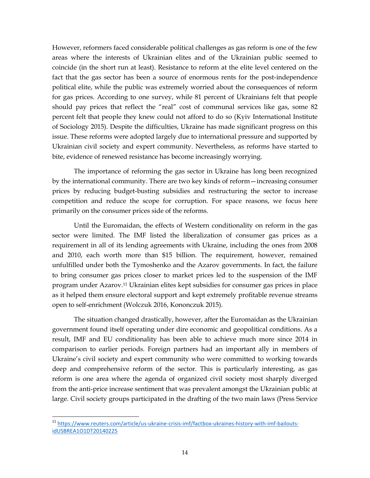However, reformers faced considerable political challenges as gas reform is one of the few areas where the interests of Ukrainian elites and of the Ukrainian public seemed to coincide (in the short run at least). Resistance to reform at the elite level centered on the fact that the gas sector has been a source of enormous rents for the post-independence political elite, while the public was extremely worried about the consequences of reform for gas prices. According to one survey, while 81 percent of Ukrainians felt that people should pay prices that reflect the "real" cost of communal services like gas, some 82 percent felt that people they knew could not afford to do so (Kyiv International Institute of Sociology 2015). Despite the difficulties, Ukraine has made significant progress on this issue. These reforms were adopted largely due to international pressure and supported by Ukrainian civil society and expert community. Nevertheless, as reforms have started to bite, evidence of renewed resistance has become increasingly worrying.

The importance of reforming the gas sector in Ukraine has long been recognized by the international community. There are two key kinds of reform—increasing consumer prices by reducing budget-busting subsidies and restructuring the sector to increase competition and reduce the scope for corruption. For space reasons, we focus here primarily on the consumer prices side of the reforms.

Until the Euromaidan, the effects of Western conditionality on reform in the gas sector were limited. The IMF listed the liberalization of consumer gas prices as a requirement in all of its lending agreements with Ukraine, including the ones from 2008 and 2010, each worth more than \$15 billion. The requirement, however, remained unfulfilled under both the Tymoshenko and the Azarov governments. In fact, the failure to bring consumer gas prices closer to market prices led to the suspension of the IMF program under Azarov.<sup>11</sup> Ukrainian elites kept subsidies for consumer gas prices in place as it helped them ensure electoral support and kept extremely profitable revenue streams open to self-enrichment (Wolczuk 2016, Kononczuk 2015).

The situation changed drastically, however, after the Euromaidan as the Ukrainian government found itself operating under dire economic and geopolitical conditions. As a result, IMF and EU conditionality has been able to achieve much more since 2014 in comparison to earlier periods. Foreign partners had an important ally in members of Ukraine's civil society and expert community who were committed to working towards deep and comprehensive reform of the sector. This is particularly interesting, as gas reform is one area where the agenda of organized civil society most sharply diverged from the anti-price increase sentiment that was prevalent amongst the Ukrainian public at large. Civil society groups participated in the drafting of the two main laws (Press Service

 $\overline{a}$ <sup>11</sup> [https://www.reuters.com/article/us-ukraine-crisis-imf/factbox-ukraines-history-with-imf-bailouts](https://www.reuters.com/article/us-ukraine-crisis-imf/factbox-ukraines-history-with-imf-bailouts-idUSBREA1O1DT20140225)[idUSBREA1O1DT20140225](https://www.reuters.com/article/us-ukraine-crisis-imf/factbox-ukraines-history-with-imf-bailouts-idUSBREA1O1DT20140225)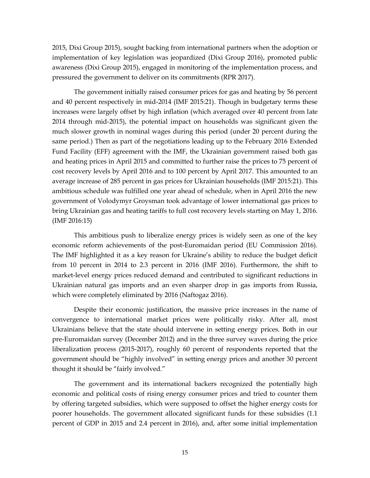2015, Dixi Group 2015), sought backing from international partners when the adoption or implementation of key legislation was jeopardized (Dixi Group 2016), promoted public awareness (Dixi Group 2015), engaged in monitoring of the implementation process, and pressured the government to deliver on its commitments (RPR 2017).

The government initially raised consumer prices for gas and heating by 56 percent and 40 percent respectively in mid-2014 (IMF 2015:21). Though in budgetary terms these increases were largely offset by high inflation (which averaged over 40 percent from late 2014 through mid-2015), the potential impact on households was significant given the much slower growth in nominal wages during this period (under 20 percent during the same period.) Then as part of the negotiations leading up to the February 2016 Extended Fund Facility (EFF) agreement with the IMF, the Ukrainian government raised both gas and heating prices in April 2015 and committed to further raise the prices to 75 percent of cost recovery levels by April 2016 and to 100 percent by April 2017. This amounted to an average increase of 285 percent in gas prices for Ukrainian households (IMF 2015:21). This ambitious schedule was fulfilled one year ahead of schedule, when in April 2016 the new government of Volodymyr Groysman took advantage of lower international gas prices to bring Ukrainian gas and heating tariffs to full cost recovery levels starting on May 1, 2016. (IMF 2016:15)

This ambitious push to liberalize energy prices is widely seen as one of the key economic reform achievements of the post-Euromaidan period (EU Commission 2016). The IMF highlighted it as a key reason for Ukraine's ability to reduce the budget deficit from 10 percent in 2014 to 2.3 percent in 2016 (IMF 2016). Furthermore, the shift to market-level energy prices reduced demand and contributed to significant reductions in Ukrainian natural gas imports and an even sharper drop in gas imports from Russia, which were completely eliminated by 2016 (Naftogaz 2016).

Despite their economic justification, the massive price increases in the name of convergence to international market prices were politically risky. After all, most Ukrainians believe that the state should intervene in setting energy prices. Both in our pre-Euromaidan survey (December 2012) and in the three survey waves during the price liberalization process (2015-2017), roughly 60 percent of respondents reported that the government should be "highly involved" in setting energy prices and another 30 percent thought it should be "fairly involved."

The government and its international backers recognized the potentially high economic and political costs of rising energy consumer prices and tried to counter them by offering targeted subsidies, which were supposed to offset the higher energy costs for poorer households. The government allocated significant funds for these subsidies (1.1 percent of GDP in 2015 and 2.4 percent in 2016), and, after some initial implementation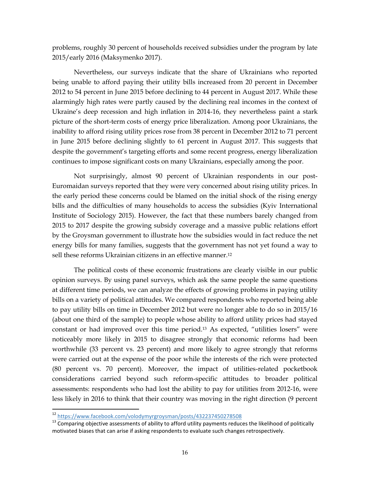problems, roughly 30 percent of households received subsidies under the program by late 2015/early 2016 (Maksymenko 2017).

Nevertheless, our surveys indicate that the share of Ukrainians who reported being unable to afford paying their utility bills increased from 20 percent in December 2012 to 54 percent in June 2015 before declining to 44 percent in August 2017. While these alarmingly high rates were partly caused by the declining real incomes in the context of Ukraine's deep recession and high inflation in 2014-16, they nevertheless paint a stark picture of the short-term costs of energy price liberalization. Among poor Ukrainians, the inability to afford rising utility prices rose from 38 percent in December 2012 to 71 percent in June 2015 before declining slightly to 61 percent in August 2017. This suggests that despite the government's targeting efforts and some recent progress, energy liberalization continues to impose significant costs on many Ukrainians, especially among the poor.

Not surprisingly, almost 90 percent of Ukrainian respondents in our post-Euromaidan surveys reported that they were very concerned about rising utility prices. In the early period these concerns could be blamed on the initial shock of the rising energy bills and the difficulties of many households to access the subsidies (Kyiv International Institute of Sociology 2015). However, the fact that these numbers barely changed from 2015 to 2017 despite the growing subsidy coverage and a massive public relations effort by the Groysman government to illustrate how the subsidies would in fact reduce the net energy bills for many families, suggests that the government has not yet found a way to sell these reforms Ukrainian citizens in an effective manner.<sup>12</sup>

The political costs of these economic frustrations are clearly visible in our public opinion surveys. By using panel surveys, which ask the same people the same questions at different time periods, we can analyze the effects of growing problems in paying utility bills on a variety of political attitudes. We compared respondents who reported being able to pay utility bills on time in December 2012 but were no longer able to do so in 2015/16 (about one third of the sample) to people whose ability to afford utility prices had stayed constant or had improved over this time period.<sup>13</sup> As expected, "utilities losers" were noticeably more likely in 2015 to disagree strongly that economic reforms had been worthwhile (33 percent vs. 23 percent) and more likely to agree strongly that reforms were carried out at the expense of the poor while the interests of the rich were protected (80 percent vs. 70 percent). Moreover, the impact of utilities-related pocketbook considerations carried beyond such reform-specific attitudes to broader political assessments: respondents who had lost the ability to pay for utilities from 2012-16, were less likely in 2016 to think that their country was moving in the right direction (9 percent

<sup>12</sup> <https://www.facebook.com/volodymyrgroysman/posts/432237450278508>

<sup>&</sup>lt;sup>13</sup> Comparing objective assessments of ability to afford utility payments reduces the likelihood of politically motivated biases that can arise if asking respondents to evaluate such changes retrospectively.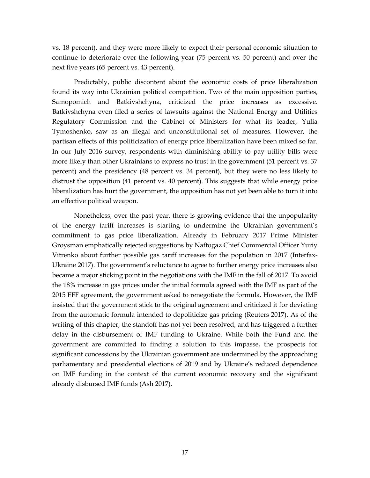vs. 18 percent), and they were more likely to expect their personal economic situation to continue to deteriorate over the following year (75 percent vs. 50 percent) and over the next five years (65 percent vs. 43 percent).

Predictably, public discontent about the economic costs of price liberalization found its way into Ukrainian political competition. Two of the main opposition parties, Samopomich and Batkivshchyna, criticized the price increases as excessive. Batkivshchyna even filed a series of lawsuits against the National Energy and Utilities Regulatory Commission and the Cabinet of Ministers for what its leader, Yulia Tymoshenko, saw as an illegal and unconstitutional set of measures. However, the partisan effects of this politicization of energy price liberalization have been mixed so far. In our July 2016 survey, respondents with diminishing ability to pay utility bills were more likely than other Ukrainians to express no trust in the government (51 percent vs. 37 percent) and the presidency (48 percent vs. 34 percent), but they were no less likely to distrust the opposition (41 percent vs. 40 percent). This suggests that while energy price liberalization has hurt the government, the opposition has not yet been able to turn it into an effective political weapon.

<span id="page-21-0"></span>Nonetheless, over the past year, there is growing evidence that the unpopularity of the energy tariff increases is starting to undermine the Ukrainian government's commitment to gas price liberalization. Already in February 2017 Prime Minister Groysman emphatically rejected suggestions by Naftogaz Chief Commercial Officer Yuriy Vitrenko about further possible gas tariff increases for the population in 2017 (Interfax-Ukraine 2017). The government's reluctance to agree to further energy price increases also became a major sticking point in the negotiations with the IMF in the fall of 2017. To avoid the 18% increase in gas prices under the initial formula agreed with the IMF as part of the 2015 EFF agreement, the government asked to renegotiate the formula. However, the IMF insisted that the government stick to the original agreement and criticized it for deviating from the automatic formula intended to depoliticize gas pricing (Reuters 2017). As of the writing of this chapter, the standoff has not yet been resolved, and has triggered a further delay in the disbursement of IMF funding to Ukraine. While both the Fund and the government are committed to finding a solution to this impasse, the prospects for significant concessions by the Ukrainian government are undermined by the approaching parliamentary and presidential elections of 2019 and by Ukraine's reduced dependence on IMF funding in the context of the current economic recovery and the significant already disbursed IMF funds (Ash 2017).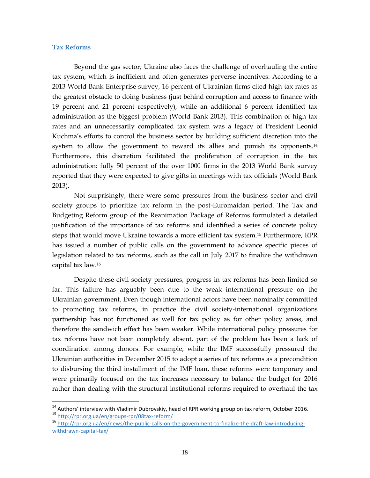#### **Tax Reforms**

 $\overline{a}$ 

Beyond the gas sector, Ukraine also faces the challenge of overhauling the entire tax system, which is inefficient and often generates perverse incentives. According to a 2013 World Bank Enterprise survey, 16 percent of Ukrainian firms cited high tax rates as the greatest obstacle to doing business (just behind corruption and access to finance with 19 percent and 21 percent respectively), while an additional 6 percent identified tax administration as the biggest problem (World Bank 2013). This combination of high tax rates and an unnecessarily complicated tax system was a legacy of President Leonid Kuchma's efforts to control the business sector by building sufficient discretion into the system to allow the government to reward its allies and punish its opponents.<sup>14</sup> Furthermore, this discretion facilitated the proliferation of corruption in the tax administration: fully 50 percent of the over 1000 firms in the 2013 World Bank survey reported that they were expected to give gifts in meetings with tax officials (World Bank 2013).

Not surprisingly, there were some pressures from the business sector and civil society groups to prioritize tax reform in the post-Euromaidan period. The Tax and Budgeting Reform group of the Reanimation Package of Reforms formulated a detailed justification of the importance of tax reforms and identified a series of concrete policy steps that would move Ukraine towards a more efficient tax system.<sup>15</sup> Furthermore, RPR has issued a number of public calls on the government to advance specific pieces of legislation related to tax reforms, such as the call in July 2017 to finalize the withdrawn capital tax law. 16

Despite these civil society pressures, progress in tax reforms has been limited so far. This failure has arguably been due to the weak international pressure on the Ukrainian government. Even though international actors have been nominally committed to promoting tax reforms, in practice the civil society-international organizations partnership has not functioned as well for tax policy as for other policy areas, and therefore the sandwich effect has been weaker. While international policy pressures for tax reforms have not been completely absent, part of the problem has been a lack of coordination among donors. For example, while the IMF successfully pressured the Ukrainian authorities in December 2015 to adopt a series of tax reforms as a precondition to disbursing the third installment of the IMF loan, these reforms were temporary and were primarily focused on the tax increases necessary to balance the budget for 2016 rather than dealing with the structural institutional reforms required to overhaul the tax

 $^{14}$  Authors' interview with Vladimir Dubrovskiy, head of RPR working group on tax reform, October 2016. <sup>15</sup> <http://rpr.org.ua/en/groups-rpr/08tax-reform/>

<sup>16</sup> [http://rpr.org.ua/en/news/the-public-calls-on-the-government-to-finalize-the-draft-law-introducing](http://rpr.org.ua/en/news/the-public-calls-on-the-government-to-finalize-the-draft-law-introducing-withdrawn-capital-tax/)[withdrawn-capital-tax/](http://rpr.org.ua/en/news/the-public-calls-on-the-government-to-finalize-the-draft-law-introducing-withdrawn-capital-tax/)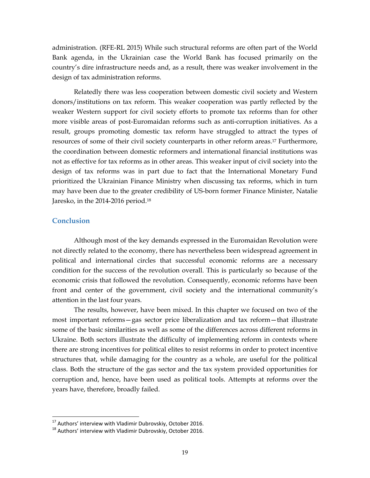administration. (RFE-RL 2015) While such structural reforms are often part of the World Bank agenda, in the Ukrainian case the World Bank has focused primarily on the country's dire infrastructure needs and, as a result, there was weaker involvement in the design of tax administration reforms.

Relatedly there was less cooperation between domestic civil society and Western donors/institutions on tax reform. This weaker cooperation was partly reflected by the weaker Western support for civil society efforts to promote tax reforms than for other more visible areas of post-Euromaidan reforms such as anti-corruption initiatives. As a result, groups promoting domestic tax reform have struggled to attract the types of resources of some of their civil society counterparts in other reform areas.<sup>17</sup> Furthermore, the coordination between domestic reformers and international financial institutions was not as effective for tax reforms as in other areas. This weaker input of civil society into the design of tax reforms was in part due to fact that the International Monetary Fund prioritized the Ukrainian Finance Ministry when discussing tax reforms, which in turn may have been due to the greater credibility of US-born former Finance Minister, Natalie Jaresko, in the 2014-2016 period.<sup>18</sup>

#### <span id="page-23-0"></span>**Conclusion**

 $\overline{a}$ 

Although most of the key demands expressed in the Euromaidan Revolution were not directly related to the economy, there has nevertheless been widespread agreement in political and international circles that successful economic reforms are a necessary condition for the success of the revolution overall. This is particularly so because of the economic crisis that followed the revolution. Consequently, economic reforms have been front and center of the government, civil society and the international community's attention in the last four years.

The results, however, have been mixed. In this chapter we focused on two of the most important reforms—gas sector price liberalization and tax reform—that illustrate some of the basic similarities as well as some of the differences across different reforms in Ukraine. Both sectors illustrate the difficulty of implementing reform in contexts where there are strong incentives for political elites to resist reforms in order to protect incentive structures that, while damaging for the country as a whole, are useful for the political class. Both the structure of the gas sector and the tax system provided opportunities for corruption and, hence, have been used as political tools. Attempts at reforms over the years have, therefore, broadly failed.

<sup>&</sup>lt;sup>17</sup> Authors' interview with Vladimir Dubrovskiy, October 2016.

<sup>&</sup>lt;sup>18</sup> Authors' interview with Vladimir Dubrovskiy, October 2016.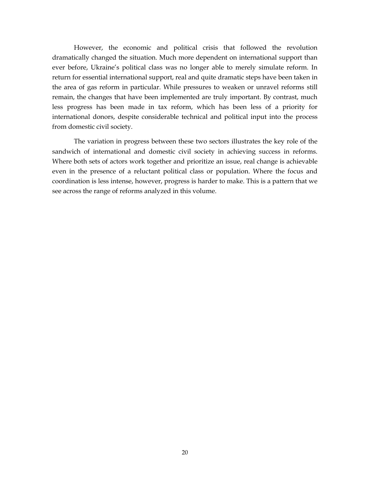However, the economic and political crisis that followed the revolution dramatically changed the situation. Much more dependent on international support than ever before, Ukraine's political class was no longer able to merely simulate reform. In return for essential international support, real and quite dramatic steps have been taken in the area of gas reform in particular. While pressures to weaken or unravel reforms still remain, the changes that have been implemented are truly important. By contrast, much less progress has been made in tax reform, which has been less of a priority for international donors, despite considerable technical and political input into the process from domestic civil society.

The variation in progress between these two sectors illustrates the key role of the sandwich of international and domestic civil society in achieving success in reforms. Where both sets of actors work together and prioritize an issue, real change is achievable even in the presence of a reluctant political class or population. Where the focus and coordination is less intense, however, progress is harder to make. This is a pattern that we see across the range of reforms analyzed in this volume.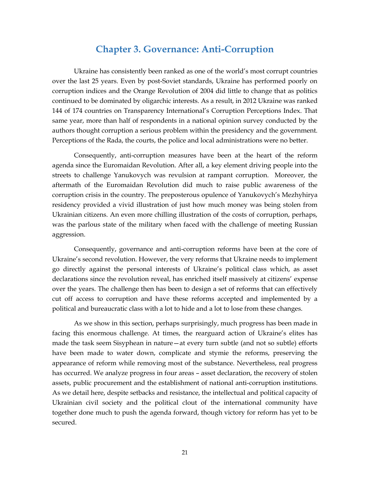### **Chapter 3. Governance: Anti-Corruption**

<span id="page-25-0"></span>Ukraine has consistently been ranked as one of the world's most corrupt countries over the last 25 years. Even by post-Soviet standards, Ukraine has performed poorly on corruption indices and the Orange Revolution of 2004 did little to change that as politics continued to be dominated by oligarchic interests. As a result, in 2012 Ukraine was ranked 144 of 174 countries on Transparency International's Corruption Perceptions Index. That same year, more than half of respondents in a national opinion survey conducted by the authors thought corruption a serious problem within the presidency and the government. Perceptions of the Rada, the courts, the police and local administrations were no better.

Consequently, anti-corruption measures have been at the heart of the reform agenda since the Euromaidan Revolution. After all, a key element driving people into the streets to challenge Yanukovych was revulsion at rampant corruption. Moreover, the aftermath of the Euromaidan Revolution did much to raise public awareness of the corruption crisis in the country. The preposterous opulence of Yanukovych's Mezhyhirya residency provided a vivid illustration of just how much money was being stolen from Ukrainian citizens. An even more chilling illustration of the costs of corruption, perhaps, was the parlous state of the military when faced with the challenge of meeting Russian aggression.

Consequently, governance and anti-corruption reforms have been at the core of Ukraine's second revolution. However, the very reforms that Ukraine needs to implement go directly against the personal interests of Ukraine's political class which, as asset declarations since the revolution reveal, has enriched itself massively at citizens' expense over the years. The challenge then has been to design a set of reforms that can effectively cut off access to corruption and have these reforms accepted and implemented by a political and bureaucratic class with a lot to hide and a lot to lose from these changes.

As we show in this section, perhaps surprisingly, much progress has been made in facing this enormous challenge. At times, the rearguard action of Ukraine's elites has made the task seem Sisyphean in nature—at every turn subtle (and not so subtle) efforts have been made to water down, complicate and stymie the reforms, preserving the appearance of reform while removing most of the substance. Nevertheless, real progress has occurred. We analyze progress in four areas – asset declaration, the recovery of stolen assets, public procurement and the establishment of national anti-corruption institutions. As we detail here, despite setbacks and resistance, the intellectual and political capacity of Ukrainian civil society and the political clout of the international community have together done much to push the agenda forward, though victory for reform has yet to be secured.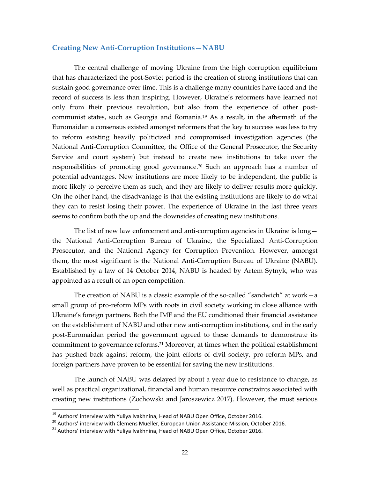#### <span id="page-26-0"></span>**Creating New Anti-Corruption Institutions—NABU**

The central challenge of moving Ukraine from the high corruption equilibrium that has characterized the post-Soviet period is the creation of strong institutions that can sustain good governance over time. This is a challenge many countries have faced and the record of success is less than inspiring. However, Ukraine's reformers have learned not only from their previous revolution, but also from the experience of other postcommunist states, such as Georgia and Romania. <sup>19</sup> As a result, in the aftermath of the Euromaidan a consensus existed amongst reformers that the key to success was less to try to reform existing heavily politicized and compromised investigation agencies (the National Anti-Corruption Committee, the Office of the General Prosecutor, the Security Service and court system) but instead to create new institutions to take over the responsibilities of promoting good governance.<sup>20</sup> Such an approach has a number of potential advantages. New institutions are more likely to be independent, the public is more likely to perceive them as such, and they are likely to deliver results more quickly. On the other hand, the disadvantage is that the existing institutions are likely to do what they can to resist losing their power. The experience of Ukraine in the last three years seems to confirm both the up and the downsides of creating new institutions.

The list of new law enforcement and anti-corruption agencies in Ukraine is long the National Anti-Corruption Bureau of Ukraine, the Specialized Anti-Corruption Prosecutor, and the National Agency for Corruption Prevention. However, amongst them, the most significant is the National Anti-Corruption Bureau of Ukraine (NABU). Established by a law of 14 October 2014, NABU is headed by Artem Sytnyk, who was appointed as a result of an open competition.

The creation of NABU is a classic example of the so-called "sandwich" at work—a small group of pro-reform MPs with roots in civil society working in close alliance with Ukraine's foreign partners. Both the IMF and the EU conditioned their financial assistance on the establishment of NABU and other new anti-corruption institutions, and in the early post-Euromaidan period the government agreed to these demands to demonstrate its commitment to governance reforms. <sup>21</sup> Moreover, at times when the political establishment has pushed back against reform, the joint efforts of civil society, pro-reform MPs, and foreign partners have proven to be essential for saving the new institutions.

The launch of NABU was delayed by about a year due to resistance to change, as well as practical organizational, financial and human resource constraints associated with creating new institutions (Zochowski and Jaroszewicz 2017). However, the most serious

<sup>&</sup>lt;sup>19</sup> Authors' interview with Yuliya Ivakhnina, Head of NABU Open Office, October 2016.

<sup>&</sup>lt;sup>20</sup> Authors' interview with Clemens Mueller, European Union Assistance Mission, October 2016.

<sup>&</sup>lt;sup>21</sup> Authors' interview with Yuliya Ivakhnina, Head of NABU Open Office, October 2016.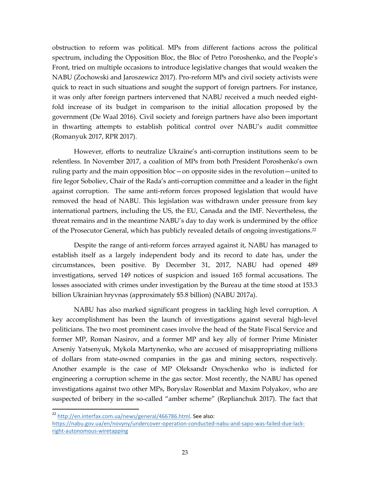obstruction to reform was political. MPs from different factions across the political spectrum, including the Opposition Bloc, the Bloc of Petro Poroshenko, and the People's Front, tried on multiple occasions to introduce legislative changes that would weaken the NABU (Zochowski and Jaroszewicz 2017). Pro-reform MPs and civil society activists were quick to react in such situations and sought the support of foreign partners. For instance, it was only after foreign partners intervened that NABU received a much needed eightfold increase of its budget in comparison to the initial allocation proposed by the government (De Waal 2016). Civil society and foreign partners have also been important in thwarting attempts to establish political control over NABU's audit committee (Romanyuk 2017, RPR 2017).

However, efforts to neutralize Ukraine's anti-corruption institutions seem to be relentless. In November 2017, a coalition of MPs from both President Poroshenko's own ruling party and the main opposition bloc—on opposite sides in the revolution—united to fire Iegor Soboliev, Chair of the Rada's anti-corruption committee and a leader in the fight against corruption. The same anti-reform forces proposed legislation that would have removed the head of NABU. This legislation was withdrawn under pressure from key international partners, including the US, the EU, Canada and the IMF. Nevertheless, the threat remains and in the meantime NABU's day to day work is undermined by the office of the Prosecutor General, which has publicly revealed details of ongoing investigations.<sup>22</sup>

Despite the range of anti-reform forces arrayed against it, NABU has managed to establish itself as a largely independent body and its record to date has, under the circumstances, been positive. By December 31, 2017, NABU had opened 489 investigations, served 149 notices of suspicion and issued 165 formal accusations. The losses associated with crimes under investigation by the Bureau at the time stood at 153.3 billion Ukrainian hryvnas (approximately \$5.8 billion) (NABU 2017a).

NABU has also marked significant progress in tackling high level corruption. A key accomplishment has been the launch of investigations against several high-level politicians. The two most prominent cases involve the head of the State Fiscal Service and former MP, Roman Nasirov, and a former MP and key ally of former Prime Minister Arseniy Yatsenyuk, Mykola Martynenko, who are accused of misappropriating millions of dollars from state-owned companies in the gas and mining sectors, respectively. Another example is the case of MP Oleksandr Onyschenko who is indicted for engineering a corruption scheme in the gas sector. Most recently, the NABU has opened investigations against two other MPs, Boryslav Rosenblat and Maxim Polyakov, who are suspected of bribery in the so-called "amber scheme" (Replianchuk 2017). The fact that

<sup>22</sup> [http://en.interfax.com.ua/news/general/466786.html.](http://en.interfax.com.ua/news/general/466786.html) See also:

[https://nabu.gov.ua/en/novyny/undercover-operation-conducted-nabu-and-sapo-was-failed-due-lack](https://nabu.gov.ua/en/novyny/undercover-operation-conducted-nabu-and-sapo-was-failed-due-lack-right-autonomous-wiretapping)[right-autonomous-wiretapping](https://nabu.gov.ua/en/novyny/undercover-operation-conducted-nabu-and-sapo-was-failed-due-lack-right-autonomous-wiretapping)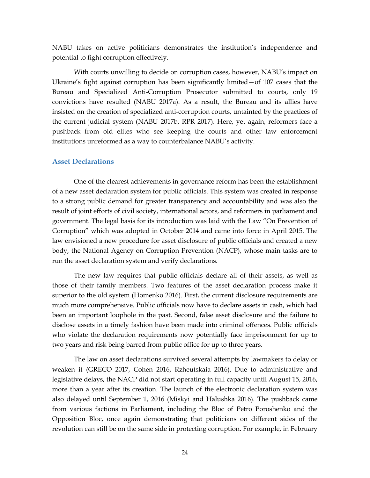NABU takes on active politicians demonstrates the institution's independence and potential to fight corruption effectively.

With courts unwilling to decide on corruption cases, however, NABU's impact on Ukraine's fight against corruption has been significantly limited—of 107 cases that the Bureau and Specialized Anti-Corruption Prosecutor submitted to courts, only 19 convictions have resulted (NABU 2017a). As a result, the Bureau and its allies have insisted on the creation of specialized anti-corruption courts, untainted by the practices of the current judicial system (NABU 2017b, RPR 2017). Here, yet again, reformers face a pushback from old elites who see keeping the courts and other law enforcement institutions unreformed as a way to counterbalance NABU's activity.

#### <span id="page-28-0"></span>**Asset Declarations**

One of the clearest achievements in governance reform has been the establishment of a new asset declaration system for public officials. This system was created in response to a strong public demand for greater transparency and accountability and was also the result of joint efforts of civil society, international actors, and reformers in parliament and government. The legal basis for its introduction was laid with the Law "On Prevention of Corruption" which was adopted in October 2014 and came into force in April 2015. The law envisioned a new procedure for asset disclosure of public officials and created a new body, the National Agency on Corruption Prevention (NACP), whose main tasks are to run the asset declaration system and verify declarations.

The new law requires that public officials declare all of their assets, as well as those of their family members. Two features of the asset declaration process make it superior to the old system (Homenko 2016). First, the current disclosure requirements are much more comprehensive. Public officials now have to declare assets in cash, which had been an important loophole in the past. Second, false asset disclosure and the failure to disclose assets in a timely fashion have been made into criminal offences. Public officials who violate the declaration requirements now potentially face imprisonment for up to two years and risk being barred from public office for up to three years.

The law on asset declarations survived several attempts by lawmakers to delay or weaken it (GRECO 2017, Cohen 2016, Rzheutskaia 2016). Due to administrative and legislative delays, the NACP did not start operating in full capacity until August 15, 2016, more than a year after its creation. The launch of the electronic declaration system was also delayed until September 1, 2016 (Miskyi and Halushka 2016). The pushback came from various factions in Parliament, including the Bloc of Petro Poroshenko and the Opposition Bloc, once again demonstrating that politicians on different sides of the revolution can still be on the same side in protecting corruption. For example, in February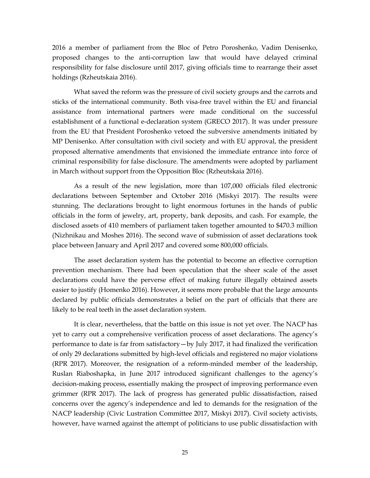2016 a member of parliament from the Bloc of Petro Poroshenko, Vadim Denisenko, proposed changes to the anti-corruption law that would have delayed criminal responsibility for false disclosure until 2017, giving officials time to rearrange their asset holdings (Rzheutskaia 2016).

What saved the reform was the pressure of civil society groups and the carrots and sticks of the international community. Both visa-free travel within the EU and financial assistance from international partners were made conditional on the successful establishment of a functional e-declaration system (GRECO 2017). It was under pressure from the EU that President Poroshenko vetoed the subversive amendments initiated by MP Denisenko. After consultation with civil society and with EU approval, the president proposed alternative amendments that envisioned the immediate entrance into force of criminal responsibility for false disclosure. The amendments were adopted by parliament in March without support from the Opposition Bloc (Rzheutskaia 2016).

As a result of the new legislation, more than 107,000 officials filed electronic declarations between September and October 2016 (Miskyi 2017). The results were stunning. The declarations brought to light enormous fortunes in the hands of public officials in the form of jewelry, art, property, bank deposits, and cash. For example, the disclosed assets of 410 members of parliament taken together amounted to \$470.3 million (Nizhnikau and Moshes 2016). The second wave of submission of asset declarations took place between January and April 2017 and covered some 800,000 officials.

The asset declaration system has the potential to become an effective corruption prevention mechanism. There had been speculation that the sheer scale of the asset declarations could have the perverse effect of making future illegally obtained assets easier to justify (Homenko 2016). However, it seems more probable that the large amounts declared by public officials demonstrates a belief on the part of officials that there are likely to be real teeth in the asset declaration system.

It is clear, nevertheless, that the battle on this issue is not yet over. The NACP has yet to carry out a comprehensive verification process of asset declarations. The agency's performance to date is far from satisfactory—by July 2017, it had finalized the verification of only 29 declarations submitted by high-level officials and registered no major violations (RPR 2017). Moreover, the resignation of a reform-minded member of the leadership, Ruslan Riaboshapka, in June 2017 introduced significant challenges to the agency's decision-making process, essentially making the prospect of improving performance even grimmer (RPR 2017). The lack of progress has generated public dissatisfaction, raised concerns over the agency's independence and led to demands for the resignation of the NACP leadership (Civic Lustration Committee 2017, Miskyi 2017). Civil society activists, however, have warned against the attempt of politicians to use public dissatisfaction with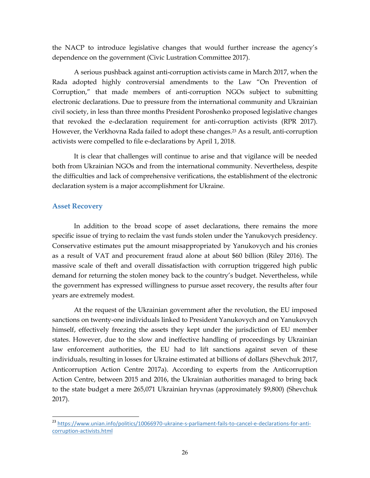the NACP to introduce legislative changes that would further increase the agency's dependence on the government (Civic Lustration Committee 2017).

A serious pushback against anti-corruption activists came in March 2017, when the Rada adopted highly controversial amendments to the Law "On Prevention of Corruption," that made members of anti-corruption NGOs subject to submitting electronic declarations. Due to pressure from the international community and Ukrainian civil society, in less than three months President Poroshenko proposed legislative changes that revoked the e-declaration requirement for anti-corruption activists (RPR 2017). However, the Verkhovna Rada failed to adopt these changes.<sup>23</sup> As a result, anti-corruption activists were compelled to file e-declarations by April 1, 2018.

It is clear that challenges will continue to arise and that vigilance will be needed both from Ukrainian NGOs and from the international community. Nevertheless, despite the difficulties and lack of comprehensive verifications, the establishment of the electronic declaration system is a major accomplishment for Ukraine.

#### <span id="page-30-0"></span>**Asset Recovery**

In addition to the broad scope of asset declarations, there remains the more specific issue of trying to reclaim the vast funds stolen under the Yanukovych presidency. Conservative estimates put the amount misappropriated by Yanukovych and his cronies as a result of VAT and procurement fraud alone at about \$60 billion (Riley 2016). The massive scale of theft and overall dissatisfaction with corruption triggered high public demand for returning the stolen money back to the country's budget. Nevertheless, while the government has expressed willingness to pursue asset recovery, the results after four years are extremely modest.

At the request of the Ukrainian government after the revolution, the EU imposed sanctions on twenty-one individuals linked to President Yanukovych and on Yanukovych himself, effectively freezing the assets they kept under the jurisdiction of EU member states. However, due to the slow and ineffective handling of proceedings by Ukrainian law enforcement authorities, the EU had to lift sanctions against seven of these individuals, resulting in losses for Ukraine estimated at billions of dollars (Shevchuk 2017, Anticorruption Action Centre 2017a). According to experts from the Anticorruption Action Centre, between 2015 and 2016, the Ukrainian authorities managed to bring back to the state budget a mere 265,071 Ukrainian hryvnas (approximately \$9,800) (Shevchuk 2017).

 $\overline{a}$ <sup>23</sup> [https://www.unian.info/politics/10066970-ukraine-s-parliament-fails-to-cancel-e-declarations-for-anti](https://www.unian.info/politics/10066970-ukraine-s-parliament-fails-to-cancel-e-declarations-for-anti-corruption-activists.html)[corruption-activists.html](https://www.unian.info/politics/10066970-ukraine-s-parliament-fails-to-cancel-e-declarations-for-anti-corruption-activists.html)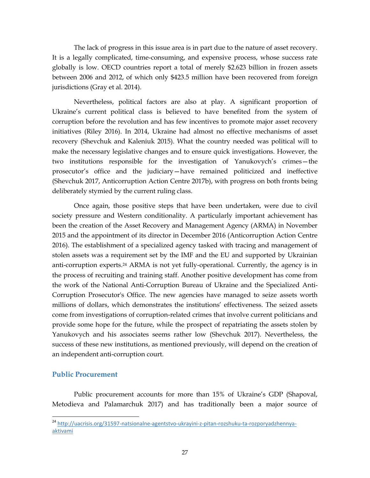The lack of progress in this issue area is in part due to the nature of asset recovery. It is a legally complicated, time-consuming, and expensive process, whose success rate globally is low. OECD countries report a total of merely \$2.623 billion in frozen assets between 2006 and 2012, of which only \$423.5 million have been recovered from foreign jurisdictions (Gray et al. 2014).

Nevertheless, political factors are also at play. A significant proportion of Ukraine's current political class is believed to have benefited from the system of corruption before the revolution and has few incentives to promote major asset recovery initiatives (Riley 2016). In 2014, Ukraine had almost no effective mechanisms of asset recovery (Shevchuk and Kaleniuk 2015). What the country needed was political will to make the necessary legislative changes and to ensure quick investigations. However, the two institutions responsible for the investigation of Yanukovych's crimes—the prosecutor's office and the judiciary—have remained politicized and ineffective (Shevchuk 2017, Anticorruption Action Centre 2017b), with progress on both fronts being deliberately stymied by the current ruling class.

Once again, those positive steps that have been undertaken, were due to civil society pressure and Western conditionality. A particularly important achievement has been the creation of the Asset Recovery and Management Agency (ARMA) in November 2015 and the appointment of its director in December 2016 (Anticorruption Action Centre 2016). The establishment of a specialized agency tasked with tracing and management of stolen assets was a requirement set by the IMF and the EU and supported by Ukrainian anti-corruption experts.<sup>24</sup> ARMA is not yet fully-operational. Currently, the agency is in the process of recruiting and training staff. Another positive development has come from the work of the National Anti-Corruption Bureau of Ukraine and the Specialized Anti-Corruption Prosecutor's Office. The new agencies have managed to seize assets worth millions of dollars, which demonstrates the institutions' effectiveness. The seized assets come from investigations of corruption-related crimes that involve current politicians and provide some hope for the future, while the prospect of repatriating the assets stolen by Yanukovych and his associates seems rather low (Shevchuk 2017). Nevertheless, the success of these new institutions, as mentioned previously, will depend on the creation of an independent anti-corruption court.

#### <span id="page-31-0"></span>**Public Procurement**

 $\overline{a}$ 

Public procurement accounts for more than 15% of Ukraine's GDP (Shapoval, Metodieva and Palamarchuk 2017) and has traditionally been a major source of

<sup>&</sup>lt;sup>24</sup> [http://uacrisis.org/31597-natsionalne-agentstvo-ukrayini-z-pitan-rozshuku-ta-rozporyadzhennya](http://uacrisis.org/31597-natsionalne-agentstvo-ukrayini-z-pitan-rozshuku-ta-rozporyadzhennya-aktivami)[aktivami](http://uacrisis.org/31597-natsionalne-agentstvo-ukrayini-z-pitan-rozshuku-ta-rozporyadzhennya-aktivami)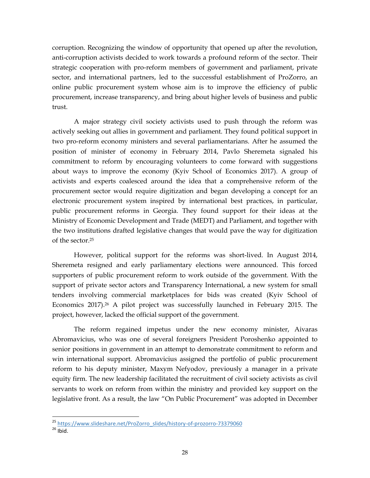corruption. Recognizing the window of opportunity that opened up after the revolution, anti-corruption activists decided to work towards a profound reform of the sector. Their strategic cooperation with pro-reform members of government and parliament, private sector, and international partners, led to the successful establishment of ProZorro, an online public procurement system whose aim is to improve the efficiency of public procurement, increase transparency, and bring about higher levels of business and public trust.

A major strategy civil society activists used to push through the reform was actively seeking out allies in government and parliament. They found political support in two pro-reform economy ministers and several parliamentarians. After he assumed the position of minister of economy in February 2014, Pavlo Sheremeta signaled his commitment to reform by encouraging volunteers to come forward with suggestions about ways to improve the economy (Kyiv School of Economics 2017). A group of activists and experts coalesced around the idea that a comprehensive reform of the procurement sector would require digitization and began developing a concept for an electronic procurement system inspired by international best practices, in particular, public procurement reforms in Georgia. They found support for their ideas at the Ministry of Economic Development and Trade (MEDT) and Parliament, and together with the two institutions drafted legislative changes that would pave the way for digitization of the sector.<sup>25</sup>

However, political support for the reforms was short-lived. In August 2014, Sheremeta resigned and early parliamentary elections were announced. This forced supporters of public procurement reform to work outside of the government. With the support of private sector actors and Transparency International, a new system for small tenders involving commercial marketplaces for bids was created (Kyiv School of Economics 2017).<sup>26</sup> A pilot project was successfully launched in February 2015. The project, however, lacked the official support of the government.

The reform regained impetus under the new economy minister, Aivaras Abromavicius, who was one of several foreigners President Poroshenko appointed to senior positions in government in an attempt to demonstrate commitment to reform and win international support. Abromavicius assigned the portfolio of public procurement reform to his deputy minister, Maxym Nefyodov, previously a manager in a private equity firm. The new leadership facilitated the recruitment of civil society activists as civil servants to work on reform from within the ministry and provided key support on the legislative front. As a result, the law "On Public Procurement" was adopted in December

 $\overline{a}$ <sup>25</sup> [https://www.slideshare.net/ProZorro\\_slides/history-of-prozorro-73379060](https://www.slideshare.net/ProZorro_slides/history-of-prozorro-73379060)

 $26$  Ibid.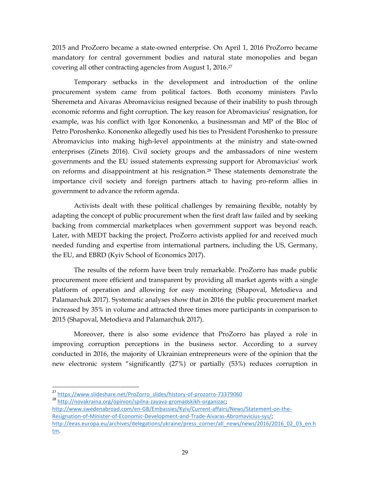2015 and ProZorro became a state-owned enterprise. On April 1, 2016 ProZorro became mandatory for central government bodies and natural state monopolies and began covering all other contracting agencies from August 1, 2016.<sup>27</sup>

Temporary setbacks in the development and introduction of the online procurement system came from political factors. Both economy ministers Pavlo Sheremeta and Aivaras Abromavicius resigned because of their inability to push through economic reforms and fight corruption. The key reason for Abromavicius' resignation, for example, was his conflict with Igor Kononenko, a businessman and MP of the Bloc of Petro Poroshenko. Kononenko allegedly used his ties to President Poroshenko to pressure Abromavicius into making high-level appointments at the ministry and state-owned enterprises (Zinets 2016). Civil society groups and the ambassadors of nine western governments and the EU issued statements expressing support for Abromavicius' work on reforms and disappointment at his resignation.<sup>28</sup> These statements demonstrate the importance civil society and foreign partners attach to having pro-reform allies in government to advance the reform agenda.

Activists dealt with these political challenges by remaining flexible, notably by adapting the concept of public procurement when the first draft law failed and by seeking backing from commercial marketplaces when government support was beyond reach. Later, with MEDT backing the project, ProZorro activists applied for and received much needed funding and expertise from international partners, including the US, Germany, the EU, and EBRD (Kyiv School of Economics 2017).

The results of the reform have been truly remarkable. ProZorro has made public procurement more efficient and transparent by providing all market agents with a single platform of operation and allowing for easy monitoring (Shapoval, Metodieva and Palamarchuk 2017). Systematic analyses show that in 2016 the public procurement market increased by 35% in volume and attracted three times more participants in comparison to 2015 (Shapoval, Metodieva and Palamarchuk 2017).

Moreover, there is also some evidence that ProZorro has played a role in improving corruption perceptions in the business sector. According to a survey conducted in 2016, the majority of Ukrainian entrepreneurs were of the opinion that the new electronic system "significantly (27%) or partially (53%) reduces corruption in

<sup>&</sup>lt;sup>27</sup> [https://www.slideshare.net/ProZorro\\_slides/history-of-prozorro-73379060](https://www.slideshare.net/ProZorro_slides/history-of-prozorro-73379060)

<sup>28</sup> [http://novakraina.org/opinion/spilna-zayava-gromadskikh-organizac;](http://novakraina.org/opinion/spilna-zayava-gromadskikh-organizac)

[http://www.swedenabroad.com/en-GB/Embassies/Kyiv/Current-affairs/News/Statement-on-the-](http://www.swedenabroad.com/en-GB/Embassies/Kyiv/Current-affairs/News/Statement-on-the-Resignation-of-Minister-of-Economic-Development-and-Trade-Aivaras-Abromavicius-sys/)[Resignation-of-Minister-of-Economic-Development-and-Trade-Aivaras-Abromavicius-sys/;](http://www.swedenabroad.com/en-GB/Embassies/Kyiv/Current-affairs/News/Statement-on-the-Resignation-of-Minister-of-Economic-Development-and-Trade-Aivaras-Abromavicius-sys/) [http://eeas.europa.eu/archives/delegations/ukraine/press\\_corner/all\\_news/news/2016/2016\\_02\\_03\\_en.h](http://eeas.europa.eu/archives/delegations/ukraine/press_corner/all_news/news/2016/2016_02_03_en.htm) [tm.](http://eeas.europa.eu/archives/delegations/ukraine/press_corner/all_news/news/2016/2016_02_03_en.htm)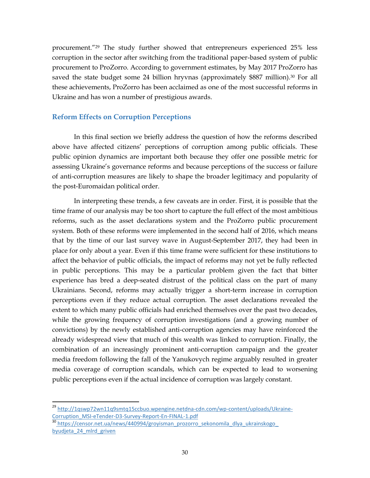procurement."<sup>29</sup> The study further showed that entrepreneurs experienced 25% less corruption in the sector after switching from the traditional paper-based system of public procurement to ProZorro. According to government estimates, by May 2017 ProZorro has saved the state budget some 24 billion hryvnas (approximately \$887 million).<sup>30</sup> For all these achievements, ProZorro has been acclaimed as one of the most successful reforms in Ukraine and has won a number of prestigious awards.

#### <span id="page-34-0"></span>**Reform Effects on Corruption Perceptions**

In this final section we briefly address the question of how the reforms described above have affected citizens' perceptions of corruption among public officials. These public opinion dynamics are important both because they offer one possible metric for assessing Ukraine's governance reforms and because perceptions of the success or failure of anti-corruption measures are likely to shape the broader legitimacy and popularity of the post-Euromaidan political order.

In interpreting these trends, a few caveats are in order. First, it is possible that the time frame of our analysis may be too short to capture the full effect of the most ambitious reforms, such as the asset declarations system and the ProZorro public procurement system. Both of these reforms were implemented in the second half of 2016, which means that by the time of our last survey wave in August-September 2017, they had been in place for only about a year. Even if this time frame were sufficient for these institutions to affect the behavior of public officials, the impact of reforms may not yet be fully reflected in public perceptions. This may be a particular problem given the fact that bitter experience has bred a deep-seated distrust of the political class on the part of many Ukrainians. Second, reforms may actually trigger a short-term increase in corruption perceptions even if they reduce actual corruption. The asset declarations revealed the extent to which many public officials had enriched themselves over the past two decades, while the growing frequency of corruption investigations (and a growing number of convictions) by the newly established anti-corruption agencies may have reinforced the already widespread view that much of this wealth was linked to corruption. Finally, the combination of an increasingly prominent anti-corruption campaign and the greater media freedom following the fall of the Yanukovych regime arguably resulted in greater media coverage of corruption scandals, which can be expected to lead to worsening public perceptions even if the actual incidence of corruption was largely constant.

<sup>&</sup>lt;sup>29</sup> [http://1qswp72wn11q9smtq15ccbuo.wpengine.netdna-cdn.com/wp-content/uploads/Ukraine-](http://1qswp72wn11q9smtq15ccbuo.wpengine.netdna-cdn.com/wp-content/uploads/Ukraine-Corruption_MSI-eTender-D3-Survey-Report-En-FINAL-1.pdf)[Corruption\\_MSI-eTender-D3-Survey-Report-En-FINAL-1.pdf](http://1qswp72wn11q9smtq15ccbuo.wpengine.netdna-cdn.com/wp-content/uploads/Ukraine-Corruption_MSI-eTender-D3-Survey-Report-En-FINAL-1.pdf)

<sup>30</sup> https://censor.net.ua/news/440994/groyisman\_prozorro\_sekonomila\_dlya\_ukrainskogo\_ byudjeta\_24\_mlrd\_griven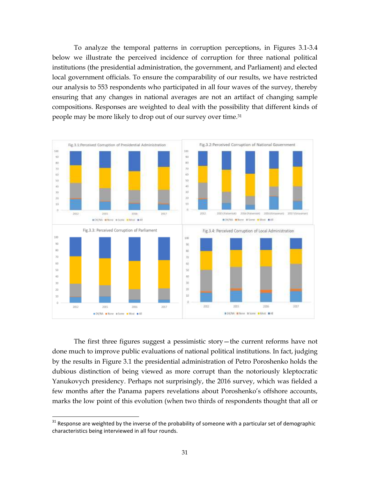To analyze the temporal patterns in corruption perceptions, in Figures 3.1-3.4 below we illustrate the perceived incidence of corruption for three national political institutions (the presidential administration, the government, and Parliament) and elected local government officials. To ensure the comparability of our results, we have restricted our analysis to 553 respondents who participated in all four waves of the survey, thereby ensuring that any changes in national averages are not an artifact of changing sample compositions. Responses are weighted to deal with the possibility that different kinds of people may be more likely to drop out of our survey over time.<sup>31</sup>



The first three figures suggest a pessimistic story—the current reforms have not done much to improve public evaluations of national political institutions. In fact, judging by the results in Figure 3.1 the presidential administration of Petro Poroshenko holds the dubious distinction of being viewed as more corrupt than the notoriously kleptocratic Yanukovych presidency. Perhaps not surprisingly, the 2016 survey, which was fielded a few months after the Panama papers revelations about Poroshenko's offshore accounts, marks the low point of this evolution (when two thirds of respondents thought that all or

 $31$  Response are weighted by the inverse of the probability of someone with a particular set of demographic characteristics being interviewed in all four rounds.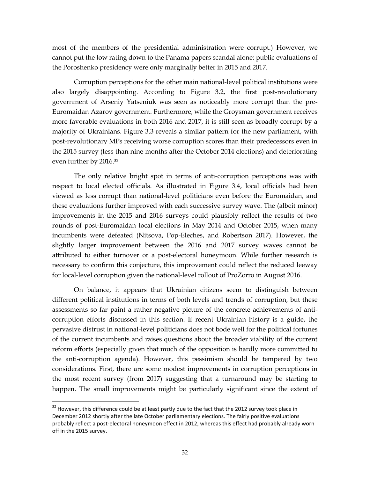most of the members of the presidential administration were corrupt.) However, we cannot put the low rating down to the Panama papers scandal alone: public evaluations of the Poroshenko presidency were only marginally better in 2015 and 2017.

Corruption perceptions for the other main national-level political institutions were also largely disappointing. According to Figure 3.2, the first post-revolutionary government of Arseniy Yatseniuk was seen as noticeably more corrupt than the pre-Euromaidan Azarov government. Furthermore, while the Groysman government receives more favorable evaluations in both 2016 and 2017, it is still seen as broadly corrupt by a majority of Ukrainians. Figure 3.3 reveals a similar pattern for the new parliament, with post-revolutionary MPs receiving worse corruption scores than their predecessors even in the 2015 survey (less than nine months after the October 2014 elections) and deteriorating even further by 2016.<sup>32</sup>

The only relative bright spot in terms of anti-corruption perceptions was with respect to local elected officials. As illustrated in Figure 3.4, local officials had been viewed as less corrupt than national-level politicians even before the Euromaidan, and these evaluations further improved with each successive survey wave. The (albeit minor) improvements in the 2015 and 2016 surveys could plausibly reflect the results of two rounds of post-Euromaidan local elections in May 2014 and October 2015, when many incumbents were defeated (Nitsova, Pop-Eleches, and Robertson 2017). However, the slightly larger improvement between the 2016 and 2017 survey waves cannot be attributed to either turnover or a post-electoral honeymoon. While further research is necessary to confirm this conjecture, this improvement could reflect the reduced leeway for local-level corruption given the national-level rollout of ProZorro in August 2016.

On balance, it appears that Ukrainian citizens seem to distinguish between different political institutions in terms of both levels and trends of corruption, but these assessments so far paint a rather negative picture of the concrete achievements of anticorruption efforts discussed in this section. If recent Ukrainian history is a guide, the pervasive distrust in national-level politicians does not bode well for the political fortunes of the current incumbents and raises questions about the broader viability of the current reform efforts (especially given that much of the opposition is hardly more committed to the anti-corruption agenda). However, this pessimism should be tempered by two considerations. First, there are some modest improvements in corruption perceptions in the most recent survey (from 2017) suggesting that a turnaround may be starting to happen. The small improvements might be particularly significant since the extent of

 $\ddot{\phantom{a}}$ 

<sup>&</sup>lt;sup>32</sup> However, this difference could be at least partly due to the fact that the 2012 survey took place in December 2012 shortly after the late October parliamentary elections. The fairly positive evaluations probably reflect a post-electoral honeymoon effect in 2012, whereas this effect had probably already worn off in the 2015 survey.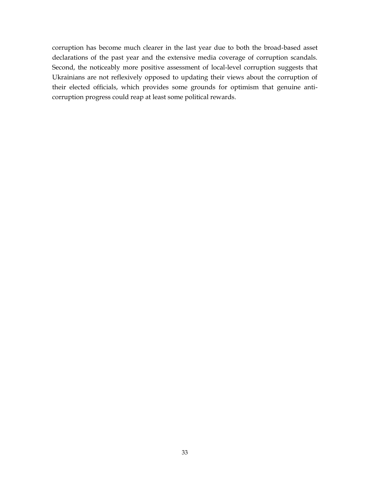corruption has become much clearer in the last year due to both the broad-based asset declarations of the past year and the extensive media coverage of corruption scandals. Second, the noticeably more positive assessment of local-level corruption suggests that Ukrainians are not reflexively opposed to updating their views about the corruption of their elected officials, which provides some grounds for optimism that genuine anticorruption progress could reap at least some political rewards.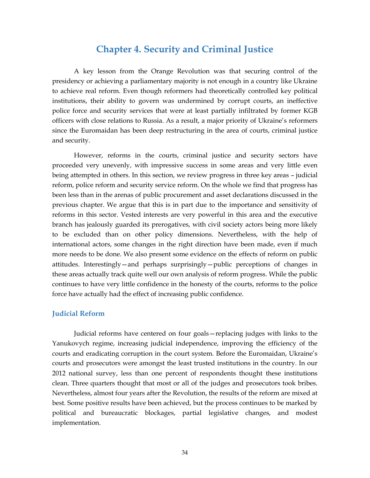### **Chapter 4. Security and Criminal Justice**

<span id="page-38-0"></span>A key lesson from the Orange Revolution was that securing control of the presidency or achieving a parliamentary majority is not enough in a country like Ukraine to achieve real reform. Even though reformers had theoretically controlled key political institutions, their ability to govern was undermined by corrupt courts, an ineffective police force and security services that were at least partially infiltrated by former KGB officers with close relations to Russia. As a result, a major priority of Ukraine's reformers since the Euromaidan has been deep restructuring in the area of courts, criminal justice and security.

However, reforms in the courts, criminal justice and security sectors have proceeded very unevenly, with impressive success in some areas and very little even being attempted in others. In this section, we review progress in three key areas – judicial reform, police reform and security service reform. On the whole we find that progress has been less than in the arenas of public procurement and asset declarations discussed in the previous chapter. We argue that this is in part due to the importance and sensitivity of reforms in this sector. Vested interests are very powerful in this area and the executive branch has jealously guarded its prerogatives, with civil society actors being more likely to be excluded than on other policy dimensions. Nevertheless, with the help of international actors, some changes in the right direction have been made, even if much more needs to be done. We also present some evidence on the effects of reform on public attitudes. Interestingly—and perhaps surprisingly—public perceptions of changes in these areas actually track quite well our own analysis of reform progress. While the public continues to have very little confidence in the honesty of the courts, reforms to the police force have actually had the effect of increasing public confidence.

#### <span id="page-38-1"></span>**Judicial Reform**

Judicial reforms have centered on four goals—replacing judges with links to the Yanukovych regime, increasing judicial independence, improving the efficiency of the courts and eradicating corruption in the court system. Before the Euromaidan, Ukraine's courts and prosecutors were amongst the least trusted institutions in the country. In our 2012 national survey, less than one percent of respondents thought these institutions clean. Three quarters thought that most or all of the judges and prosecutors took bribes. Nevertheless, almost four years after the Revolution, the results of the reform are mixed at best. Some positive results have been achieved, but the process continues to be marked by political and bureaucratic blockages, partial legislative changes, and modest implementation.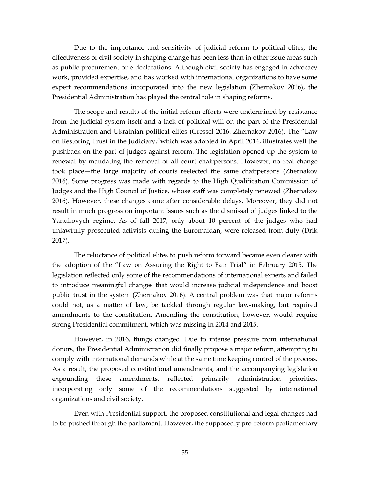Due to the importance and sensitivity of judicial reform to political elites, the effectiveness of civil society in shaping change has been less than in other issue areas such as public procurement or e-declarations. Although civil society has engaged in advocacy work, provided expertise, and has worked with international organizations to have some expert recommendations incorporated into the new legislation (Zhernakov 2016), the Presidential Administration has played the central role in shaping reforms.

The scope and results of the initial reform efforts were undermined by resistance from the judicial system itself and a lack of political will on the part of the Presidential Administration and Ukrainian political elites (Gressel 2016, Zhernakov 2016). The "Law on Restoring Trust in the Judiciary,"which was adopted in April 2014, illustrates well the pushback on the part of judges against reform. The legislation opened up the system to renewal by mandating the removal of all court chairpersons. However, no real change took place—the large majority of courts reelected the same chairpersons (Zhernakov 2016). Some progress was made with regards to the High Qualification Commission of Judges and the High Council of Justice, whose staff was completely renewed (Zhernakov 2016). However, these changes came after considerable delays. Moreover, they did not result in much progress on important issues such as the dismissal of judges linked to the Yanukovych regime. As of fall 2017, only about 10 percent of the judges who had unlawfully prosecuted activists during the Euromaidan, were released from duty (Drik 2017).

The reluctance of political elites to push reform forward became even clearer with the adoption of the "Law on Assuring the Right to Fair Trial" in February 2015. The legislation reflected only some of the recommendations of international experts and failed to introduce meaningful changes that would increase judicial independence and boost public trust in the system (Zhernakov 2016). A central problem was that major reforms could not, as a matter of law, be tackled through regular law-making, but required amendments to the constitution. Amending the constitution, however, would require strong Presidential commitment, which was missing in 2014 and 2015.

However, in 2016, things changed. Due to intense pressure from international donors, the Presidential Administration did finally propose a major reform, attempting to comply with international demands while at the same time keeping control of the process. As a result, the proposed constitutional amendments, and the accompanying legislation expounding these amendments, reflected primarily administration priorities, incorporating only some of the recommendations suggested by international organizations and civil society.

Even with Presidential support, the proposed constitutional and legal changes had to be pushed through the parliament. However, the supposedly pro-reform parliamentary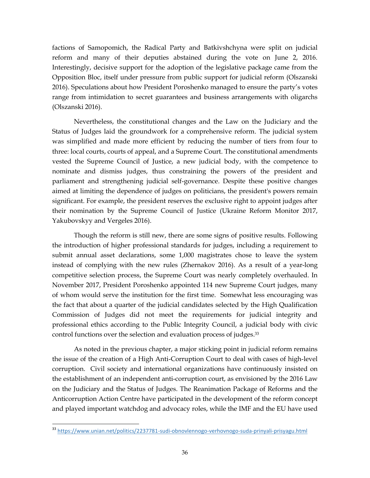factions of Samopomich, the Radical Party and Batkivshchyna were split on judicial reform and many of their deputies abstained during the vote on June 2, 2016. Interestingly, decisive support for the adoption of the legislative package came from the Opposition Bloc, itself under pressure from public support for judicial reform (Olszanski 2016). Speculations about how President Poroshenko managed to ensure the party's votes range from intimidation to secret guarantees and business arrangements with oligarchs (Olszanski 2016).

Nevertheless, the constitutional changes and the Law on the Judiciary and the Status of Judges laid the groundwork for a comprehensive reform. The judicial system was simplified and made more efficient by reducing the number of tiers from four to three: local courts, courts of appeal, and a Supreme Court. The constitutional amendments vested the Supreme Council of Justice, a new judicial body, with the competence to nominate and dismiss judges, thus constraining the powers of the president and parliament and strengthening judicial self-governance. Despite these positive changes aimed at limiting the dependence of judges on politicians, the president's powers remain significant. For example, the president reserves the exclusive right to appoint judges after their nomination by the Supreme Council of Justice (Ukraine Reform Monitor 2017, Yakubovskyy and Vergeles 2016).

Though the reform is still new, there are some signs of positive results. Following the introduction of higher professional standards for judges, including a requirement to submit annual asset declarations, some 1,000 magistrates chose to leave the system instead of complying with the new rules (Zhernakov 2016). As a result of a year-long competitive selection process, the Supreme Court was nearly completely overhauled. In November 2017, President Poroshenko appointed 114 new Supreme Court judges, many of whom would serve the institution for the first time. Somewhat less encouraging was the fact that about a quarter of the judicial candidates selected by the High Qualification Commission of Judges did not meet the requirements for judicial integrity and professional ethics according to the Public Integrity Council, a judicial body with civic control functions over the selection and evaluation process of judges. 33

As noted in the previous chapter, a major sticking point in judicial reform remains the issue of the creation of a High Anti-Corruption Court to deal with cases of high-level corruption. Civil society and international organizations have continuously insisted on the establishment of an independent anti-corruption court, as envisioned by the 2016 Law on the Judiciary and the Status of Judges. The Reanimation Package of Reforms and the Anticorruption Action Centre have participated in the development of the reform concept and played important watchdog and advocacy roles, while the IMF and the EU have used

 $\overline{a}$ <sup>33</sup> <https://www.unian.net/politics/2237781-sudi-obnovlennogo-verhovnogo-suda-prinyali-prisyagu.html>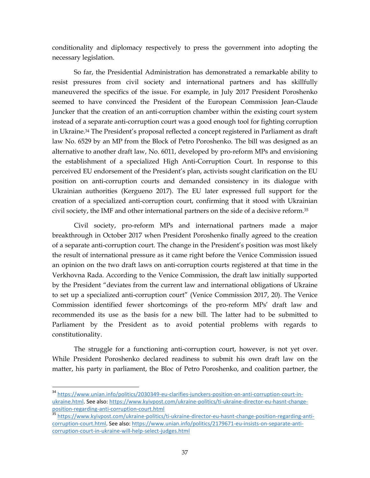conditionality and diplomacy respectively to press the government into adopting the necessary legislation.

So far, the Presidential Administration has demonstrated a remarkable ability to resist pressures from civil society and international partners and has skillfully maneuvered the specifics of the issue. For example, in July 2017 President Poroshenko seemed to have convinced the President of the European Commission Jean-Claude Juncker that the creation of an anti-corruption chamber within the existing court system instead of a separate anti-corruption court was a good enough tool for fighting corruption in Ukraine.<sup>34</sup> The President's proposal reflected a concept registered in Parliament as draft law No. 6529 by an MP from the Block of Petro Poroshenko. The bill was designed as an alternative to another draft law, No. 6011, developed by pro-reform MPs and envisioning the establishment of a specialized High Anti-Corruption Court. In response to this perceived EU endorsement of the President's plan, activists sought clarification on the EU position on anti-corruption courts and demanded consistency in its dialogue with Ukrainian authorities (Kergueno 2017). The EU later expressed full support for the creation of a specialized anti-corruption court, confirming that it stood with Ukrainian civil society, the IMF and other international partners on the side of a decisive reform.<sup>35</sup>

Civil society, pro-reform MPs and international partners made a major breakthrough in October 2017 when President Poroshenko finally agreed to the creation of a separate anti-corruption court. The change in the President's position was most likely the result of international pressure as it came right before the Venice Commission issued an opinion on the two draft laws on anti-corruption courts registered at that time in the Verkhovna Rada. According to the Venice Commission, the draft law initially supported by the President "deviates from the current law and international obligations of Ukraine to set up a specialized anti-corruption court" (Venice Commission 2017, 20). The Venice Commission identified fewer shortcomings of the pro-reform MPs' draft law and recommended its use as the basis for a new bill. The latter had to be submitted to Parliament by the President as to avoid potential problems with regards to constitutionality.

The struggle for a functioning anti-corruption court, however, is not yet over. While President Poroshenko declared readiness to submit his own draft law on the matter, his party in parliament, the Bloc of Petro Poroshenko, and coalition partner, the

 $\ddot{\phantom{a}}$ 

<sup>&</sup>lt;sup>34</sup> [https://www.unian.info/politics/2030349-eu-clarifies-junckers-position-on-anti-corruption-court-in](https://www.unian.info/politics/2030349-eu-clarifies-junckers-position-on-anti-corruption-court-in-ukraine.html)[ukraine.html.](https://www.unian.info/politics/2030349-eu-clarifies-junckers-position-on-anti-corruption-court-in-ukraine.html) See also: https://www.kyivpost.com/ukraine-politics/ti-ukraine-director-eu-hasnt-changeposition-regarding-anti-corruption-court.html

<sup>35</sup> https://www.kyivpost.com/ukraine-politics/ti-ukraine-director-eu-hasnt-change-position-regarding-anticorruption-court.html. See also: [https://www.unian.info/politics/2179671-eu-insists-on-separate-anti](https://www.unian.info/politics/2179671-eu-insists-on-separate-anti-corruption-court-in-ukraine-will-help-select-judges.html)[corruption-court-in-ukraine-will-help-select-judges.html](https://www.unian.info/politics/2179671-eu-insists-on-separate-anti-corruption-court-in-ukraine-will-help-select-judges.html)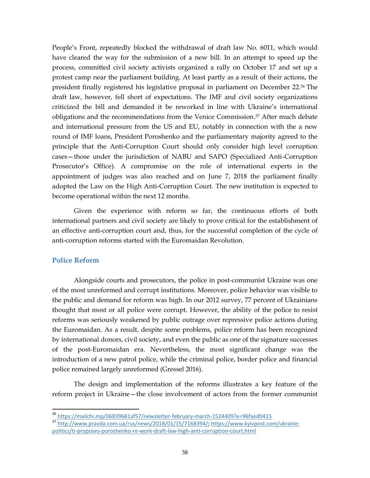People's Front, repeatedly blocked the withdrawal of draft law No. 6011, which would have cleared the way for the submission of a new bill. In an attempt to speed up the process, committed civil society activists organized a rally on October 17 and set up a protest camp near the parliament building. At least partly as a result of their actions, the president finally registered his legislative proposal in parliament on December 22. <sup>36</sup> The draft law, however, fell short of expectations. The IMF and civil society organizations criticized the bill and demanded it be reworked in line with Ukraine's international obligations and the recommendations from the Venice Commission. <sup>37</sup> After much debate and international pressure from the US and EU, notably in connection with the a new round of IMF loans, President Poroshenko and the parliamentary majority agreed to the principle that the Anti-Corruption Court should only consider high level corruption cases—those under the jurisdiction of NABU and SAPO (Specialized Anti-Corruption Prosecutor's Office). A compromise on the role of international experts in the appointment of judges was also reached and on June 7, 2018 the parliament finally adopted the Law on the High Anti-Corruption Court. The new institution is expected to become operational within the next 12 months.

Given the experience with reform so far, the continuous efforts of both international partners and civil society are likely to prove critical for the establishment of an effective anti-corruption court and, thus, for the successful completion of the cycle of anti-corruption reforms started with the Euromaidan Revolution.

#### <span id="page-42-0"></span>**Police Reform**

 $\overline{a}$ 

Alongside courts and prosecutors, the police in post-communist Ukraine was one of the most unreformed and corrupt institutions. Moreover, police behavior was visible to the public and demand for reform was high. In our 2012 survey, 77 percent of Ukrainians thought that most or all police were corrupt. However, the ability of the police to resist reforms was seriously weakened by public outrage over repressive police actions during the Euromaidan. As a result, despite some problems, police reform has been recognized by international donors, civil society, and even the public as one of the signature successes of the post-Euromaidan era. Nevertheless, the most significant change was the introduction of a new patrol police, while the criminal police, border police and financial police remained largely unreformed (Gressel 2016).

The design and implementation of the reforms illustrates a key feature of the reform project in Ukraine—the close involvement of actors from the former communist

<sup>&</sup>lt;sup>36</sup> <https://mailchi.mp/06839681af57/newsletter-february-march-1524409?e=96faed0415>

<sup>37</sup> [http://www.pravda.com.ua/rus/news/2018/01/15/7168394/;](http://www.pravda.com.ua/rus/news/2018/01/15/7168394/) [https://www.kyivpost.com/ukraine](https://www.kyivpost.com/ukraine-politics/ti-proposes-poroshenko-re-work-draft-law-high-anti-corruption-court.html)[politics/ti-proposes-poroshenko-re-work-draft-law-high-anti-corruption-court.html](https://www.kyivpost.com/ukraine-politics/ti-proposes-poroshenko-re-work-draft-law-high-anti-corruption-court.html)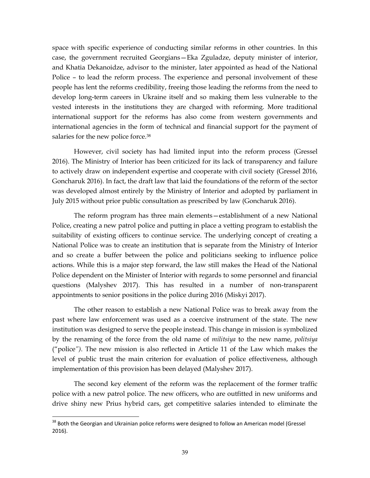space with specific experience of conducting similar reforms in other countries. In this case, the government recruited Georgians—Eka Zguladze, deputy minister of interior, and Khatia Dekanoidze, advisor to the minister, later appointed as head of the National Police – to lead the reform process. The experience and personal involvement of these people has lent the reforms credibility, freeing those leading the reforms from the need to develop long-term careers in Ukraine itself and so making them less vulnerable to the vested interests in the institutions they are charged with reforming. More traditional international support for the reforms has also come from western governments and international agencies in the form of technical and financial support for the payment of salaries for the new police force.<sup>38</sup>

However, civil society has had limited input into the reform process (Gressel 2016). The Ministry of Interior has been criticized for its lack of transparency and failure to actively draw on independent expertise and cooperate with civil society (Gressel 2016, Goncharuk 2016). In fact, the draft law that laid the foundations of the reform of the sector was developed almost entirely by the Ministry of Interior and adopted by parliament in July 2015 without prior public consultation as prescribed by law (Goncharuk 2016).

The reform program has three main elements—establishment of a new National Police, creating a new patrol police and putting in place a vetting program to establish the suitability of existing officers to continue service. The underlying concept of creating a National Police was to create an institution that is separate from the Ministry of Interior and so create a buffer between the police and politicians seeking to influence police actions. While this is a major step forward, the law still makes the Head of the National Police dependent on the Minister of Interior with regards to some personnel and financial questions (Malyshev 2017). This has resulted in a number of non-transparent appointments to senior positions in the police during 2016 (Miskyi 2017).

The other reason to establish a new National Police was to break away from the past where law enforcement was used as a coercive instrument of the state. The new institution was designed to serve the people instead. This change in mission is symbolized by the renaming of the force from the old name of *militsiya* to the new name, *politsiya* ("police*")*. The new mission is also reflected in Article 11 of the Law which makes the level of public trust the main criterion for evaluation of police effectiveness, although implementation of this provision has been delayed (Malyshev 2017).

The second key element of the reform was the replacement of the former traffic police with a new patrol police. The new officers, who are outfitted in new uniforms and drive shiny new Prius hybrid cars, get competitive salaries intended to eliminate the

<sup>&</sup>lt;sup>38</sup> Both the Georgian and Ukrainian police reforms were designed to follow an American model (Gressel 2016).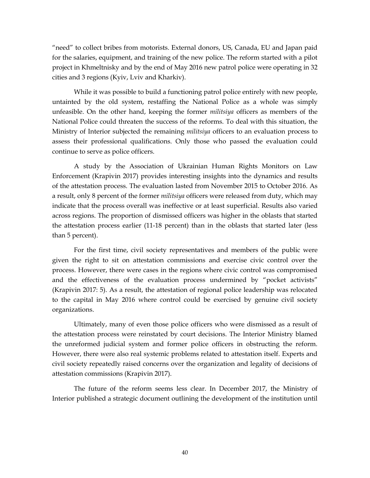"need" to collect bribes from motorists. External donors, US, Canada, EU and Japan paid for the salaries, equipment, and training of the new police. The reform started with a pilot project in Khmeltnisky and by the end of May 2016 new patrol police were operating in 32 cities and 3 regions (Kyiv, Lviv and Kharkiv).

While it was possible to build a functioning patrol police entirely with new people, untainted by the old system, restaffing the National Police as a whole was simply unfeasible. On the other hand, keeping the former *militsiya* officers as members of the National Police could threaten the success of the reforms. To deal with this situation, the Ministry of Interior subjected the remaining *militsiya* officers to an evaluation process to assess their professional qualifications. Only those who passed the evaluation could continue to serve as police officers.

A study by the Association of Ukrainian Human Rights Monitors on Law Enforcement (Krapivin 2017) provides interesting insights into the dynamics and results of the attestation process. The evaluation lasted from November 2015 to October 2016. As a result, only 8 percent of the former *militsiya* officers were released from duty, which may indicate that the process overall was ineffective or at least superficial. Results also varied across regions. The proportion of dismissed officers was higher in the oblasts that started the attestation process earlier (11-18 percent) than in the oblasts that started later (less than 5 percent).

For the first time, civil society representatives and members of the public were given the right to sit on attestation commissions and exercise civic control over the process. However, there were cases in the regions where civic control was compromised and the effectiveness of the evaluation process undermined by "pocket activists" (Krapivin 2017: 5). As a result, the attestation of regional police leadership was relocated to the capital in May 2016 where control could be exercised by genuine civil society organizations.

Ultimately, many of even those police officers who were dismissed as a result of the attestation process were reinstated by court decisions. The Interior Ministry blamed the unreformed judicial system and former police officers in obstructing the reform. However, there were also real systemic problems related to attestation itself. Experts and civil society repeatedly raised concerns over the organization and legality of decisions of attestation commissions (Krapivin 2017).

The future of the reform seems less clear. In December 2017, the Ministry of Interior published a strategic document outlining the development of the institution until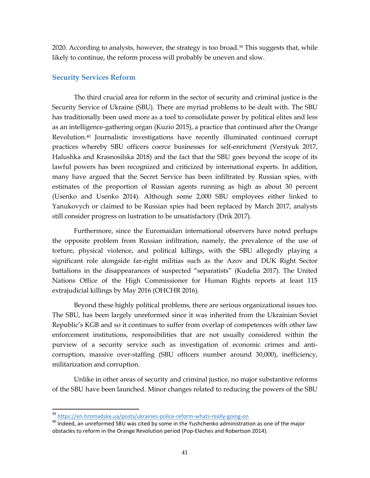<span id="page-45-0"></span>2020. According to analysts, however, the strategy is too broad. <sup>39</sup> This suggests that, while likely to continue, the reform process will probably be uneven and slow.

#### **Security Services Reform**

The third crucial area for reform in the sector of security and criminal justice is the Security Service of Ukraine (SBU). There are myriad problems to be dealt with. The SBU has traditionally been used more as a tool to consolidate power by political elites and less as an intelligence-gathering organ (Kuzio 2015), a practice that continued after the Orange Revolution.<sup>40</sup> Journalistic investigations have recently illuminated continued corrupt practices whereby SBU officers coerce businesses for self-enrichment (Verstyuk 2017, Halushka and Krasnosilska 2018) and the fact that the SBU goes beyond the scope of its lawful powers has been recognized and criticized by international experts. In addition, many have argued that the Secret Service has been infiltrated by Russian spies, with estimates of the proportion of Russian agents running as high as about 30 percent (Usenko and Usenko 2014). Although some 2,000 SBU employees either linked to Yanukovych or claimed to be Russian spies had been replaced by March 2017, analysts still consider progress on lustration to be unsatisfactory (Drik 2017).

Furthermore, since the Euromaidan international observers have noted perhaps the opposite problem from Russian infiltration, namely, the prevalence of the use of torture, physical violence, and political killings, with the SBU allegedly playing a significant role alongside far-right militias such as the Azov and DUK Right Sector battalions in the disappearances of suspected "separatists" (Kudelia 2017). The United Nations Office of the High Commissioner for Human Rights reports at least 115 extrajudicial killings by May 2016 (OHCHR 2016).

Beyond these highly political problems, there are serious organizational issues too. The SBU, has been largely unreformed since it was inherited from the Ukrainian Soviet Republic's KGB and so it continues to suffer from overlap of competences with other law enforcement institutions, responsibilities that are not usually considered within the purview of a security service such as investigation of economic crimes and anticorruption, massive over-staffing (SBU officers number around 30,000), inefficiency, militarization and corruption.

Unlike in other areas of security and criminal justice, no major substantive reforms of the SBU have been launched. Minor changes related to reducing the powers of the SBU

<sup>39</sup> <https://en.hromadske.ua/posts/ukraines-police-reform-whats-really-going-on>

 $40$  Indeed, an unreformed SBU was cited by some in the Yushchenko administration as one of the major obstacles to reform in the Orange Revolution period (Pop-Eleches and Robertson 2014).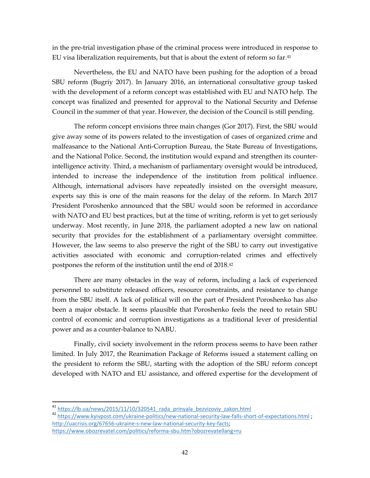in the pre-trial investigation phase of the criminal process were introduced in response to EU visa liberalization requirements, but that is about the extent of reform so far. 41

Nevertheless, the EU and NATO have been pushing for the adoption of a broad SBU reform (Bugriy 2017). In January 2016, an international consultative group tasked with the development of a reform concept was established with EU and NATO help. The concept was finalized and presented for approval to the National Security and Defense Council in the summer of that year. However, the decision of the Council is still pending.

The reform concept envisions three main changes (Gor 2017). First, the SBU would give away some of its powers related to the investigation of cases of organized crime and malfeasance to the National Anti-Corruption Bureau, the State Bureau of Investigations, and the National Police. Second, the institution would expand and strengthen its counterintelligence activity. Third, a mechanism of parliamentary oversight would be introduced, intended to increase the independence of the institution from political influence. Although, international advisors have repeatedly insisted on the oversight measure, experts say this is one of the main reasons for the delay of the reform. In March 2017 President Poroshenko announced that the SBU would soon be reformed in accordance with NATO and EU best practices, but at the time of writing, reform is yet to get seriously underway. Most recently, in June 2018, the parliament adopted a new law on national security that provides for the establishment of a parliamentary oversight committee. However, the law seems to also preserve the right of the SBU to carry out investigative activities associated with economic and corruption-related crimes and effectively postpones the reform of the institution until the end of 2018.<sup>42</sup>

There are many obstacles in the way of reform, including a lack of experienced personnel to substitute released officers, resource constraints, and resistance to change from the SBU itself. A lack of political will on the part of President Poroshenko has also been a major obstacle. It seems plausible that Poroshenko feels the need to retain SBU control of economic and corruption investigations as a traditional lever of presidential power and as a counter-balance to NABU.

Finally, civil society involvement in the reform process seems to have been rather limited. In July 2017, the Reanimation Package of Reforms issued a statement calling on the president to reform the SBU, starting with the adoption of the SBU reform concept developed with NATO and EU assistance, and offered expertise for the development of

<sup>42</sup> <https://www.kyivpost.com/ukraine-politics/new-national-security-law-falls-short-of-expectations.html>; [http://uacrisis.org/67656-ukraine-s-new-law-national-security-key-facts;](http://uacrisis.org/67656-ukraine-s-new-law-national-security-key-facts)

 $\ddot{\phantom{a}}$ 

<sup>&</sup>lt;sup>41</sup> [https://lb.ua/news/2015/11/10/320541\\_rada\\_prinyala\\_bezvizoviy\\_zakon.html](https://lb.ua/news/2015/11/10/320541_rada_prinyala_bezvizoviy_zakon.html)

<https://www.obozrevatel.com/politics/reforma-sbu.htm?obozrevatellang=ru>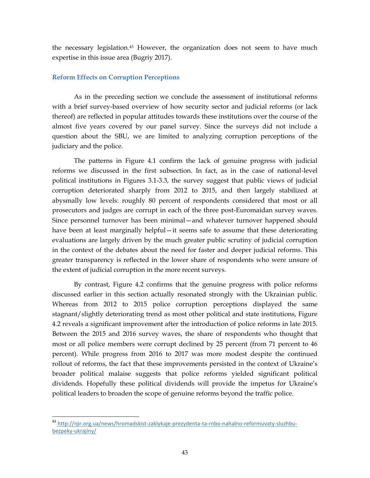the necessary legislation.<sup>43</sup> However, the organization does not seem to have much expertise in this issue area (Bugriy 2017).

#### <span id="page-47-0"></span>**Reform Effects on Corruption Perceptions**

As in the preceding section we conclude the assessment of institutional reforms with a brief survey-based overview of how security sector and judicial reforms (or lack thereof) are reflected in popular attitudes towards these institutions over the course of the almost five years covered by our panel survey. Since the surveys did not include a question about the SBU, we are limited to analyzing corruption perceptions of the judiciary and the police.

The patterns in Figure 4.1 confirm the lack of genuine progress with judicial reforms we discussed in the first subsection. In fact, as in the case of national-level political institutions in Figures 3.1-3.3, the survey suggest that public views of judicial corruption deteriorated sharply from 2012 to 2015, and then largely stabilized at abysmally low levels: roughly 80 percent of respondents considered that most or all prosecutors and judges are corrupt in each of the three post-Euromaidan survey waves. Since personnel turnover has been minimal—and whatever turnover happened should have been at least marginally helpful—it seems safe to assume that these deteriorating evaluations are largely driven by the much greater public scrutiny of judicial corruption in the context of the debates about the need for faster and deeper judicial reforms. This greater transparency is reflected in the lower share of respondents who were unsure of the extent of judicial corruption in the more recent surveys.

By contrast, Figure 4.2 confirms that the genuine progress with police reforms discussed earlier in this section actually resonated strongly with the Ukrainian public. Whereas from 2012 to 2015 police corruption perceptions displayed the same stagnant/slightly deteriorating trend as most other political and state institutions, Figure 4.2 reveals a significant improvement after the introduction of police reforms in late 2015. Between the 2015 and 2016 survey waves, the share of respondents who thought that most or all police members were corrupt declined by 25 percent (from 71 percent to 46 percent). While progress from 2016 to 2017 was more modest despite the continued rollout of reforms, the fact that these improvements persisted in the context of Ukraine's broader political malaise suggests that police reforms yielded significant political dividends. Hopefully these political dividends will provide the impetus for Ukraine's political leaders to broaden the scope of genuine reforms beyond the traffic police.

<sup>43</sup> [http://rpr.org.ua/news/hromadskist-zaklykaje-prezydenta-ta-rnbo-nahalno-reformuvaty-sluzhbu](http://rpr.org.ua/news/hromadskist-zaklykaje-prezydenta-ta-rnbo-nahalno-reformuvaty-sluzhbu-bezpeky-ukrajiny/)[bezpeky-ukrajiny/](http://rpr.org.ua/news/hromadskist-zaklykaje-prezydenta-ta-rnbo-nahalno-reformuvaty-sluzhbu-bezpeky-ukrajiny/)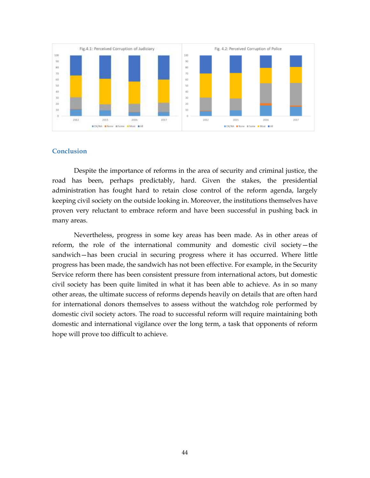<span id="page-48-0"></span>

#### **Conclusion**

Despite the importance of reforms in the area of security and criminal justice, the road has been, perhaps predictably, hard. Given the stakes, the presidential administration has fought hard to retain close control of the reform agenda, largely keeping civil society on the outside looking in. Moreover, the institutions themselves have proven very reluctant to embrace reform and have been successful in pushing back in many areas.

Nevertheless, progress in some key areas has been made. As in other areas of reform, the role of the international community and domestic civil society—the sandwich—has been crucial in securing progress where it has occurred. Where little progress has been made, the sandwich has not been effective. For example, in the Security Service reform there has been consistent pressure from international actors, but domestic civil society has been quite limited in what it has been able to achieve. As in so many other areas, the ultimate success of reforms depends heavily on details that are often hard for international donors themselves to assess without the watchdog role performed by domestic civil society actors. The road to successful reform will require maintaining both domestic and international vigilance over the long term, a task that opponents of reform hope will prove too difficult to achieve.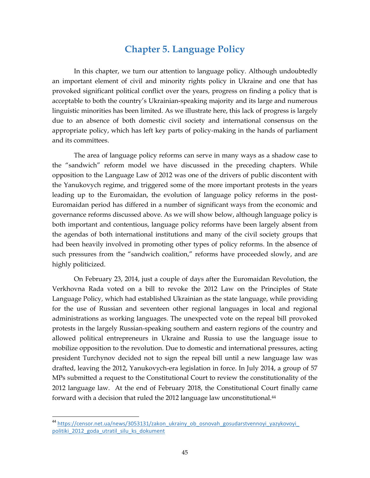### **Chapter 5. Language Policy**

<span id="page-49-0"></span>In this chapter, we turn our attention to language policy. Although undoubtedly an important element of civil and minority rights policy in Ukraine and one that has provoked significant political conflict over the years, progress on finding a policy that is acceptable to both the country's Ukrainian-speaking majority and its large and numerous linguistic minorities has been limited. As we illustrate here, this lack of progress is largely due to an absence of both domestic civil society and international consensus on the appropriate policy, which has left key parts of policy-making in the hands of parliament and its committees.

The area of language policy reforms can serve in many ways as a shadow case to the "sandwich" reform model we have discussed in the preceding chapters. While opposition to the Language Law of 2012 was one of the drivers of public discontent with the Yanukovych regime, and triggered some of the more important protests in the years leading up to the Euromaidan, the evolution of language policy reforms in the post-Euromaidan period has differed in a number of significant ways from the economic and governance reforms discussed above. As we will show below, although language policy is both important and contentious, language policy reforms have been largely absent from the agendas of both international institutions and many of the civil society groups that had been heavily involved in promoting other types of policy reforms. In the absence of such pressures from the "sandwich coalition," reforms have proceeded slowly, and are highly politicized.

On February 23, 2014, just a couple of days after the Euromaidan Revolution, the Verkhovna Rada voted on a bill to revoke the 2012 Law on the Principles of State Language Policy, which had established Ukrainian as the state language, while providing for the use of Russian and seventeen other regional languages in local and regional administrations as working languages. The unexpected vote on the repeal bill provoked protests in the largely Russian-speaking southern and eastern regions of the country and allowed political entrepreneurs in Ukraine and Russia to use the language issue to mobilize opposition to the revolution. Due to domestic and international pressures, acting president Turchynov decided not to sign the repeal bill until a new language law was drafted, leaving the 2012, Yanukovych-era legislation in force. In July 2014, a group of 57 MPs submitted a request to the Constitutional Court to review the constitutionality of the 2012 language law. At the end of February 2018, the Constitutional Court finally came forward with a decision that ruled the 2012 language law unconstitutional. 44

<sup>&</sup>lt;sup>44</sup> [https://censor.net.ua/news/3053131/zakon\\_ukrainy\\_ob\\_osnovah\\_gosudarstvennoyi\\_yazykovoyi\\_](https://censor.net.ua/news/3053131/zakon_ukrainy_ob_osnovah_gosudarstvennoyi_yazykovoyi_politiki_2012_goda_utratil_silu_ks_dokument) politiki 2012 goda utratil silu ks dokument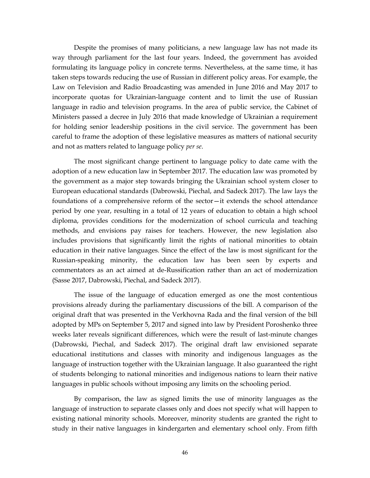Despite the promises of many politicians, a new language law has not made its way through parliament for the last four years. Indeed, the government has avoided formulating its language policy in concrete terms. Nevertheless, at the same time, it has taken steps towards reducing the use of Russian in different policy areas. For example, the Law on Television and Radio Broadcasting was amended in June 2016 and May 2017 to incorporate quotas for Ukrainian-language content and to limit the use of Russian language in radio and television programs. In the area of public service, the Cabinet of Ministers passed a decree in July 2016 that made knowledge of Ukrainian a requirement for holding senior leadership positions in the civil service. The government has been careful to frame the adoption of these legislative measures as matters of national security and not as matters related to language policy *per se*.

The most significant change pertinent to language policy to date came with the adoption of a new education law in September 2017. The education law was promoted by the government as a major step towards bringing the Ukrainian school system closer to European educational standards (Dabrowski, Piechal, and Sadeck 2017). The law lays the foundations of a comprehensive reform of the sector—it extends the school attendance period by one year, resulting in a total of 12 years of education to obtain a high school diploma, provides conditions for the modernization of school curricula and teaching methods, and envisions pay raises for teachers. However, the new legislation also includes provisions that significantly limit the rights of national minorities to obtain education in their native languages. Since the effect of the law is most significant for the Russian-speaking minority, the education law has been seen by experts and commentators as an act aimed at de-Russification rather than an act of modernization (Sasse 2017, Dabrowski, Piechal, and Sadeck 2017).

The issue of the language of education emerged as one the most contentious provisions already during the parliamentary discussions of the bill. A comparison of the original draft that was presented in the Verkhovna Rada and the final version of the bill adopted by MPs on September 5, 2017 and signed into law by President Poroshenko three weeks later reveals significant differences, which were the result of last-minute changes (Dabrowski, Piechal, and Sadeck 2017). The original draft law envisioned separate educational institutions and classes with minority and indigenous languages as the language of instruction together with the Ukrainian language. It also guaranteed the right of students belonging to national minorities and indigenous nations to learn their native languages in public schools without imposing any limits on the schooling period.

By comparison, the law as signed limits the use of minority languages as the language of instruction to separate classes only and does not specify what will happen to existing national minority schools. Moreover, minority students are granted the right to study in their native languages in kindergarten and elementary school only. From fifth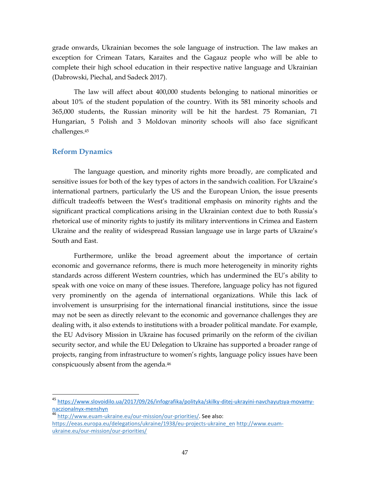grade onwards, Ukrainian becomes the sole language of instruction. The law makes an exception for Crimean Tatars, Karaites and the Gagauz people who will be able to complete their high school education in their respective native language and Ukrainian (Dabrowski, Piechal, and Sadeck 2017).

The law will affect about 400,000 students belonging to national minorities or about 10% of the student population of the country. With its 581 minority schools and 365,000 students, the Russian minority will be hit the hardest. 75 Romanian, 71 Hungarian, 5 Polish and 3 Moldovan minority schools will also face significant challenges.<sup>45</sup>

#### <span id="page-51-0"></span>**Reform Dynamics**

 $\overline{a}$ 

The language question, and minority rights more broadly, are complicated and sensitive issues for both of the key types of actors in the sandwich coalition. For Ukraine's international partners, particularly the US and the European Union, the issue presents difficult tradeoffs between the West's traditional emphasis on minority rights and the significant practical complications arising in the Ukrainian context due to both Russia's rhetorical use of minority rights to justify its military interventions in Crimea and Eastern Ukraine and the reality of widespread Russian language use in large parts of Ukraine's South and East.

Furthermore, unlike the broad agreement about the importance of certain economic and governance reforms, there is much more heterogeneity in minority rights standards across different Western countries, which has undermined the EU's ability to speak with one voice on many of these issues. Therefore, language policy has not figured very prominently on the agenda of international organizations. While this lack of involvement is unsurprising for the international financial institutions, since the issue may not be seen as directly relevant to the economic and governance challenges they are dealing with, it also extends to institutions with a broader political mandate. For example, the EU Advisory Mission in Ukraine has focused primarily on the reform of the civilian security sector, and while the EU Delegation to Ukraine has supported a broader range of projects, ranging from infrastructure to women's rights, language policy issues have been conspicuously absent from the agenda.<sup>46</sup>

<sup>45</sup> https://www.slovoidilo.ua/2017/09/26/infografika/polityka/skilky-ditej-ukrayini-navchayutsya-movamynaczionalnyx-menshyn

<sup>46</sup> [http://www.euam-ukraine.eu/our-mission/our-priorities/.](http://www.euam-ukraine.eu/our-mission/our-priorities/) See also: [https://eeas.europa.eu/delegations/ukraine/1938/eu-projects-ukraine\\_en](https://eeas.europa.eu/delegations/ukraine/1938/eu-projects-ukraine_en) http://www.euamukraine.eu/our-mission/our-priorities/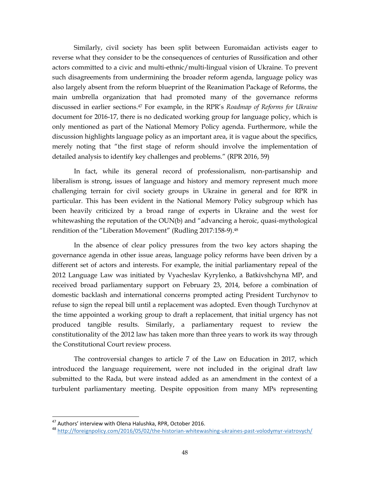Similarly, civil society has been split between Euromaidan activists eager to reverse what they consider to be the consequences of centuries of Russification and other actors committed to a civic and multi-ethnic/multi-lingual vision of Ukraine. To prevent such disagreements from undermining the broader reform agenda, language policy was also largely absent from the reform blueprint of the Reanimation Package of Reforms, the main umbrella organization that had promoted many of the governance reforms discussed in earlier sections.<sup>47</sup> For example, in the RPR's *Roadmap of Reforms for Ukraine* document for 2016-17, there is no dedicated working group for language policy, which is only mentioned as part of the National Memory Policy agenda. Furthermore, while the discussion highlights language policy as an important area, it is vague about the specifics, merely noting that "the first stage of reform should involve the implementation of detailed analysis to identify key challenges and problems." (RPR 2016, 59)

In fact, while its general record of professionalism, non-partisanship and liberalism is strong, issues of language and history and memory represent much more challenging terrain for civil society groups in Ukraine in general and for RPR in particular. This has been evident in the National Memory Policy subgroup which has been heavily criticized by a broad range of experts in Ukraine and the west for whitewashing the reputation of the OUN(b) and "advancing a heroic, quasi-mythological rendition of the "Liberation Movement" (Rudling 2017:158-9).<sup>48</sup>

In the absence of clear policy pressures from the two key actors shaping the governance agenda in other issue areas, language policy reforms have been driven by a different set of actors and interests. For example, the initial parliamentary repeal of the 2012 Language Law was initiated by Vyacheslav Kyrylenko, a Batkivshchyna MP, and received broad parliamentary support on February 23, 2014, before a combination of domestic backlash and international concerns prompted acting President Turchynov to refuse to sign the repeal bill until a replacement was adopted. Even though Turchynov at the time appointed a working group to draft a replacement, that initial urgency has not produced tangible results. Similarly, a parliamentary request to review the constitutionality of the 2012 law has taken more than three years to work its way through the Constitutional Court review process.

The controversial changes to article 7 of the Law on Education in 2017, which introduced the language requirement, were not included in the original draft law submitted to the Rada, but were instead added as an amendment in the context of a turbulent parliamentary meeting. Despite opposition from many MPs representing

<sup>47</sup> Authors' interview with Olena Halushka, RPR, October 2016.

<sup>48</sup> <http://foreignpolicy.com/2016/05/02/the-historian-whitewashing-ukraines-past-volodymyr-viatrovych/>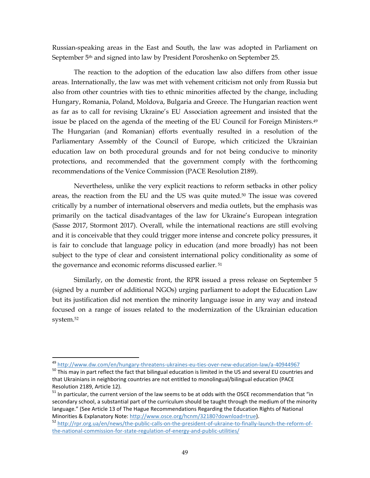Russian-speaking areas in the East and South, the law was adopted in Parliament on September 5th and signed into law by President Poroshenko on September 25.

The reaction to the adoption of the education law also differs from other issue areas. Internationally, the law was met with vehement criticism not only from Russia but also from other countries with ties to ethnic minorities affected by the change, including Hungary, Romania, Poland, Moldova, Bulgaria and Greece. The Hungarian reaction went as far as to call for revising Ukraine's EU Association agreement and insisted that the issue be placed on the agenda of the meeting of the EU Council for Foreign Ministers.<sup>49</sup> The Hungarian (and Romanian) efforts eventually resulted in a resolution of the Parliamentary Assembly of the Council of Europe, which criticized the Ukrainian education law on both procedural grounds and for not being conducive to minority protections, and recommended that the government comply with the forthcoming recommendations of the Venice Commission (PACE Resolution 2189).

Nevertheless, unlike the very explicit reactions to reform setbacks in other policy areas, the reaction from the EU and the US was quite muted.<sup>50</sup> The issue was covered critically by a number of international observers and media outlets, but the emphasis was primarily on the tactical disadvantages of the law for Ukraine's European integration (Sasse 2017, Stormont 2017). Overall, while the international reactions are still evolving and it is conceivable that they could trigger more intense and concrete policy pressures, it is fair to conclude that language policy in education (and more broadly) has not been subject to the type of clear and consistent international policy conditionality as some of the governance and economic reforms discussed earlier. <sup>51</sup>

Similarly, on the domestic front, the RPR issued a press release on September 5 (signed by a number of additional NGOs) urging parliament to adopt the Education Law but its justification did not mention the minority language issue in any way and instead focused on a range of issues related to the modernization of the Ukrainian education system.<sup>52</sup>

<sup>49</sup> <http://www.dw.com/en/hungary-threatens-ukraines-eu-ties-over-new-education-law/a-40944967>

 $50$  This may in part reflect the fact that bilingual education is limited in the US and several EU countries and that Ukrainians in neighboring countries are not entitled to monolingual/bilingual education (PACE Resolution 2189, Article 12).

<sup>&</sup>lt;sup>51</sup> In particular, the current version of the law seems to be at odds with the OSCE recommendation that "in secondary school, a substantial part of the curriculum should be taught through the medium of the minority language." (See Article 13 of The Hague Recommendations Regarding the Education Rights of National Minorities & Explanatory Note: [http://www.osce.org/hcnm/32180?download=true\)](http://www.osce.org/hcnm/32180?download=true).

<sup>52</sup> [http://rpr.org.ua/en/news/the-public-calls-on-the-president-of-ukraine-to-finally-launch-the-reform-of](http://rpr.org.ua/en/news/the-public-calls-on-the-president-of-ukraine-to-finally-launch-the-reform-of-the-national-commission-for-state-regulation-of-energy-and-public-utilities/)[the-national-commission-for-state-regulation-of-energy-and-public-utilities/](http://rpr.org.ua/en/news/the-public-calls-on-the-president-of-ukraine-to-finally-launch-the-reform-of-the-national-commission-for-state-regulation-of-energy-and-public-utilities/)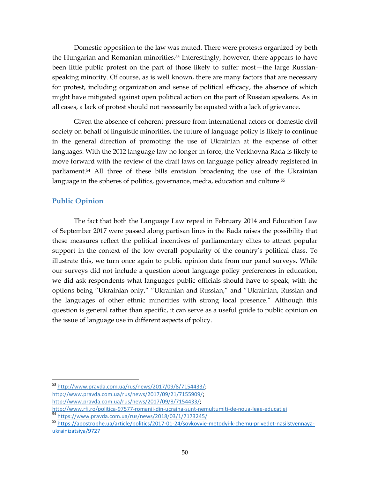Domestic opposition to the law was muted. There were protests organized by both the Hungarian and Romanian minorities.<sup>53</sup> Interestingly, however, there appears to have been little public protest on the part of those likely to suffer most—the large Russianspeaking minority. Of course, as is well known, there are many factors that are necessary for protest, including organization and sense of political efficacy, the absence of which might have mitigated against open political action on the part of Russian speakers. As in all cases, a lack of protest should not necessarily be equated with a lack of grievance.

Given the absence of coherent pressure from international actors or domestic civil society on behalf of linguistic minorities, the future of language policy is likely to continue in the general direction of promoting the use of Ukrainian at the expense of other languages. With the 2012 language law no longer in force, the Verkhovna Rada is likely to move forward with the review of the draft laws on language policy already registered in parliament. <sup>54</sup> All three of these bills envision broadening the use of the Ukrainian language in the spheres of politics, governance, media, education and culture.<sup>55</sup>

#### <span id="page-54-0"></span>**Public Opinion**

 $\overline{a}$ 

The fact that both the Language Law repeal in February 2014 and Education Law of September 2017 were passed along partisan lines in the Rada raises the possibility that these measures reflect the political incentives of parliamentary elites to attract popular support in the context of the low overall popularity of the country's political class. To illustrate this, we turn once again to public opinion data from our panel surveys. While our surveys did not include a question about language policy preferences in education, we did ask respondents what languages public officials should have to speak, with the options being "Ukrainian only," "Ukrainian and Russian," and "Ukrainian, Russian and the languages of other ethnic minorities with strong local presence." Although this question is general rather than specific, it can serve as a useful guide to public opinion on the issue of language use in different aspects of policy.

<sup>53</sup> [http://www.pravda.com.ua/rus/news/2017/09/8/7154433/;](http://www.pravda.com.ua/rus/news/2017/09/8/7154433/) [http://www.pravda.com.ua/rus/news/2017/09/21/7155909/;](http://www.pravda.com.ua/rus/news/2017/09/21/7155909/) [http://www.pravda.com.ua/rus/news/2017/09/8/7154433/;](http://www.mukachevo.net/ua/news/view/240647)

<http://www.rfi.ro/politica-97577-romanii-din-ucraina-sunt-nemultumiti-de-noua-lege-educatiei> <sup>54</sup> <https://www.pravda.com.ua/rus/news/2018/03/1/7173245/>

<sup>55</sup> https://apostrophe.ua/article/politics/2017-01-24/sovkovyie-metodyi-k-chemu-privedet-nasilstvennayaukrainizatsiya/9727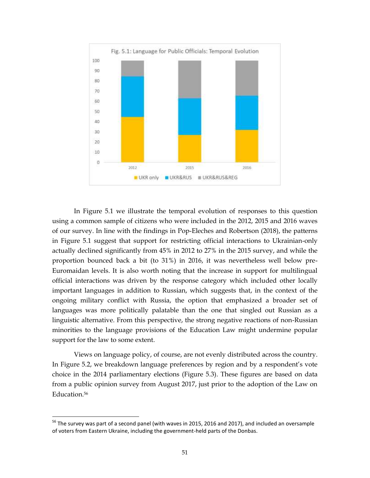

In Figure 5.1 we illustrate the temporal evolution of responses to this question using a common sample of citizens who were included in the 2012, 2015 and 2016 waves of our survey. In line with the findings in Pop-Eleches and Robertson (2018), the patterns in Figure 5.1 suggest that support for restricting official interactions to Ukrainian-only actually declined significantly from 45% in 2012 to 27% in the 2015 survey, and while the proportion bounced back a bit (to 31%) in 2016, it was nevertheless well below pre-Euromaidan levels. It is also worth noting that the increase in support for multilingual official interactions was driven by the response category which included other locally important languages in addition to Russian, which suggests that, in the context of the ongoing military conflict with Russia, the option that emphasized a broader set of languages was more politically palatable than the one that singled out Russian as a linguistic alternative. From this perspective, the strong negative reactions of non-Russian minorities to the language provisions of the Education Law might undermine popular support for the law to some extent.

Views on language policy, of course, are not evenly distributed across the country. In Figure 5.2, we breakdown language preferences by region and by a respondent's vote choice in the 2014 parliamentary elections (Figure 5.3). These figures are based on data from a public opinion survey from August 2017, just prior to the adoption of the Law on Education.<sup>56</sup>

<sup>&</sup>lt;sup>56</sup> The survey was part of a second panel (with waves in 2015, 2016 and 2017), and included an oversample of voters from Eastern Ukraine, including the government-held parts of the Donbas.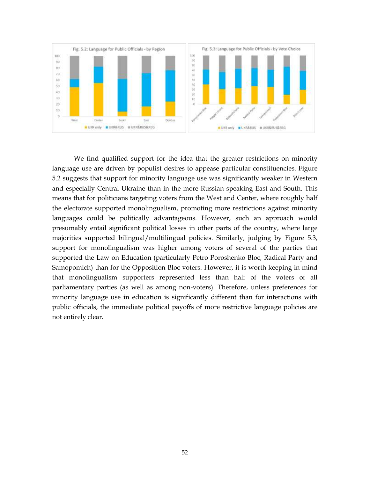

We find qualified support for the idea that the greater restrictions on minority language use are driven by populist desires to appease particular constituencies. Figure 5.2 suggests that support for minority language use was significantly weaker in Western and especially Central Ukraine than in the more Russian-speaking East and South. This means that for politicians targeting voters from the West and Center, where roughly half the electorate supported monolingualism, promoting more restrictions against minority languages could be politically advantageous. However, such an approach would presumably entail significant political losses in other parts of the country, where large majorities supported bilingual/multilingual policies. Similarly, judging by Figure 5.3, support for monolingualism was higher among voters of several of the parties that supported the Law on Education (particularly Petro Poroshenko Bloc, Radical Party and Samopomich) than for the Opposition Bloc voters. However, it is worth keeping in mind that monolingualism supporters represented less than half of the voters of all parliamentary parties (as well as among non-voters). Therefore, unless preferences for minority language use in education is significantly different than for interactions with public officials, the immediate political payoffs of more restrictive language policies are not entirely clear.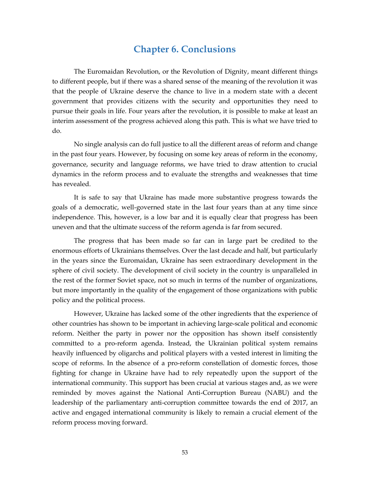### **Chapter 6. Conclusions**

<span id="page-57-0"></span>The Euromaidan Revolution, or the Revolution of Dignity, meant different things to different people, but if there was a shared sense of the meaning of the revolution it was that the people of Ukraine deserve the chance to live in a modern state with a decent government that provides citizens with the security and opportunities they need to pursue their goals in life. Four years after the revolution, it is possible to make at least an interim assessment of the progress achieved along this path. This is what we have tried to do.

No single analysis can do full justice to all the different areas of reform and change in the past four years. However, by focusing on some key areas of reform in the economy, governance, security and language reforms, we have tried to draw attention to crucial dynamics in the reform process and to evaluate the strengths and weaknesses that time has revealed.

It is safe to say that Ukraine has made more substantive progress towards the goals of a democratic, well-governed state in the last four years than at any time since independence. This, however, is a low bar and it is equally clear that progress has been uneven and that the ultimate success of the reform agenda is far from secured.

The progress that has been made so far can in large part be credited to the enormous efforts of Ukrainians themselves. Over the last decade and half, but particularly in the years since the Euromaidan, Ukraine has seen extraordinary development in the sphere of civil society. The development of civil society in the country is unparalleled in the rest of the former Soviet space, not so much in terms of the number of organizations, but more importantly in the quality of the engagement of those organizations with public policy and the political process.

However, Ukraine has lacked some of the other ingredients that the experience of other countries has shown to be important in achieving large-scale political and economic reform. Neither the party in power nor the opposition has shown itself consistently committed to a pro-reform agenda. Instead, the Ukrainian political system remains heavily influenced by oligarchs and political players with a vested interest in limiting the scope of reforms. In the absence of a pro-reform constellation of domestic forces, those fighting for change in Ukraine have had to rely repeatedly upon the support of the international community. This support has been crucial at various stages and, as we were reminded by moves against the National Anti-Corruption Bureau (NABU) and the leadership of the parliamentary anti-corruption committee towards the end of 2017, an active and engaged international community is likely to remain a crucial element of the reform process moving forward.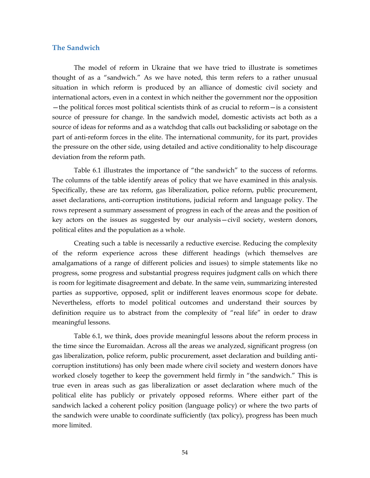#### <span id="page-58-0"></span>**The Sandwich**

The model of reform in Ukraine that we have tried to illustrate is sometimes thought of as a "sandwich." As we have noted, this term refers to a rather unusual situation in which reform is produced by an alliance of domestic civil society and international actors, even in a context in which neither the government nor the opposition —the political forces most political scientists think of as crucial to reform—is a consistent source of pressure for change. In the sandwich model, domestic activists act both as a source of ideas for reforms and as a watchdog that calls out backsliding or sabotage on the part of anti-reform forces in the elite. The international community, for its part, provides the pressure on the other side, using detailed and active conditionality to help discourage deviation from the reform path.

Table 6.1 illustrates the importance of "the sandwich" to the success of reforms. The columns of the table identify areas of policy that we have examined in this analysis. Specifically, these are tax reform, gas liberalization, police reform, public procurement, asset declarations, anti-corruption institutions, judicial reform and language policy. The rows represent a summary assessment of progress in each of the areas and the position of key actors on the issues as suggested by our analysis—civil society, western donors, political elites and the population as a whole.

Creating such a table is necessarily a reductive exercise. Reducing the complexity of the reform experience across these different headings (which themselves are amalgamations of a range of different policies and issues) to simple statements like no progress, some progress and substantial progress requires judgment calls on which there is room for legitimate disagreement and debate. In the same vein, summarizing interested parties as supportive, opposed, split or indifferent leaves enormous scope for debate. Nevertheless, efforts to model political outcomes and understand their sources by definition require us to abstract from the complexity of "real life" in order to draw meaningful lessons.

Table 6.1, we think, does provide meaningful lessons about the reform process in the time since the Euromaidan. Across all the areas we analyzed, significant progress (on gas liberalization, police reform, public procurement, asset declaration and building anticorruption institutions) has only been made where civil society and western donors have worked closely together to keep the government held firmly in "the sandwich." This is true even in areas such as gas liberalization or asset declaration where much of the political elite has publicly or privately opposed reforms. Where either part of the sandwich lacked a coherent policy position (language policy) or where the two parts of the sandwich were unable to coordinate sufficiently (tax policy), progress has been much more limited.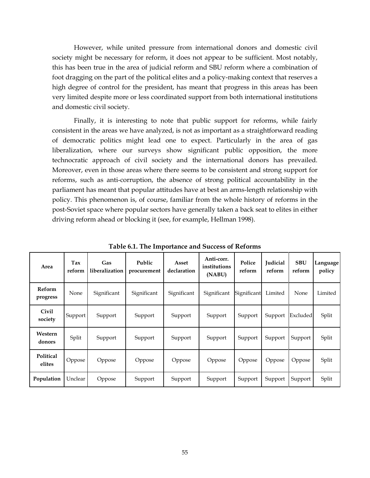However, while united pressure from international donors and domestic civil society might be necessary for reform, it does not appear to be sufficient. Most notably, this has been true in the area of judicial reform and SBU reform where a combination of foot dragging on the part of the political elites and a policy-making context that reserves a high degree of control for the president, has meant that progress in this areas has been very limited despite more or less coordinated support from both international institutions and domestic civil society.

Finally, it is interesting to note that public support for reforms, while fairly consistent in the areas we have analyzed, is not as important as a straightforward reading of democratic politics might lead one to expect. Particularly in the area of gas liberalization, where our surveys show significant public opposition, the more technocratic approach of civil society and the international donors has prevailed. Moreover, even in those areas where there seems to be consistent and strong support for reforms, such as anti-corruption, the absence of strong political accountability in the parliament has meant that popular attitudes have at best an arms-length relationship with policy. This phenomenon is, of course, familiar from the whole history of reforms in the post-Soviet space where popular sectors have generally taken a back seat to elites in either driving reform ahead or blocking it (see, for example, Hellman 1998).

<span id="page-59-0"></span>

| Area                      | Tax<br>reform | Gas<br>liberalization | Public<br>procurement | Asset<br>declaration | Anti-corr.<br>institutions<br>(NABU) | Police<br>reform | <b>Iudicial</b><br>reform | <b>SBU</b><br>reform | Language<br>policy |
|---------------------------|---------------|-----------------------|-----------------------|----------------------|--------------------------------------|------------------|---------------------------|----------------------|--------------------|
| <b>Reform</b><br>progress | None          | Significant           | Significant           | Significant          | Significant                          | Significant      | Limited                   | None                 | Limited            |
| Civil<br>society          | Support       | Support               | Support               | Support              | Support                              | Support          | Support                   | Excluded             | Split              |
| Western<br>donors         | Split         | Support               | Support               | Support              | Support                              | Support          | Support                   | Support              | Split              |
| Political<br>elites       | Oppose        | Oppose                | Oppose                | Oppose               | Oppose                               | Oppose           | Oppose                    | Oppose               | Split              |
| Population                | Unclear       | Oppose                | Support               | Support              | Support                              | Support          | Support                   | Support              | Split              |

**Table 6.1. The Importance and Success of Reforms**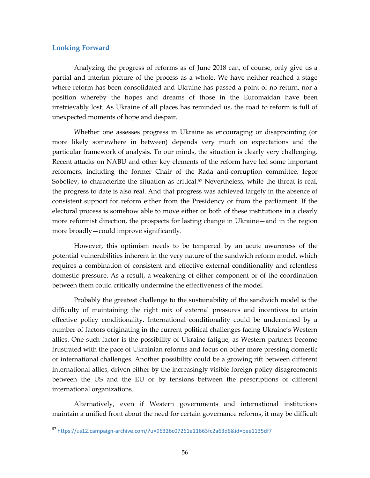#### **Looking Forward**

 $\overline{a}$ 

Analyzing the progress of reforms as of June 2018 can, of course, only give us a partial and interim picture of the process as a whole. We have neither reached a stage where reform has been consolidated and Ukraine has passed a point of no return, nor a position whereby the hopes and dreams of those in the Euromaidan have been irretrievably lost. As Ukraine of all places has reminded us, the road to reform is full of unexpected moments of hope and despair.

Whether one assesses progress in Ukraine as encouraging or disappointing (or more likely somewhere in between) depends very much on expectations and the particular framework of analysis. To our minds, the situation is clearly very challenging. Recent attacks on NABU and other key elements of the reform have led some important reformers, including the former Chair of the Rada anti-corruption committee, Iegor Soboliev, to characterize the situation as critical.<sup>57</sup> Nevertheless, while the threat is real, the progress to date is also real. And that progress was achieved largely in the absence of consistent support for reform either from the Presidency or from the parliament. If the electoral process is somehow able to move either or both of these institutions in a clearly more reformist direction, the prospects for lasting change in Ukraine—and in the region more broadly—could improve significantly.

However, this optimism needs to be tempered by an acute awareness of the potential vulnerabilities inherent in the very nature of the sandwich reform model, which requires a combination of consistent and effective external conditionality and relentless domestic pressure. As a result, a weakening of either component or of the coordination between them could critically undermine the effectiveness of the model.

Probably the greatest challenge to the sustainability of the sandwich model is the difficulty of maintaining the right mix of external pressures and incentives to attain effective policy conditionality. International conditionality could be undermined by a number of factors originating in the current political challenges facing Ukraine's Western allies. One such factor is the possibility of Ukraine fatigue, as Western partners become frustrated with the pace of Ukrainian reforms and focus on other more pressing domestic or international challenges. Another possibility could be a growing rift between different international allies, driven either by the increasingly visible foreign policy disagreements between the US and the EU or by tensions between the prescriptions of different international organizations.

Alternatively, even if Western governments and international institutions maintain a unified front about the need for certain governance reforms, it may be difficult

<sup>57</sup> <https://us12.campaign-archive.com/?u=96326c07261e11663fc2a63d6&id=bee1135df7>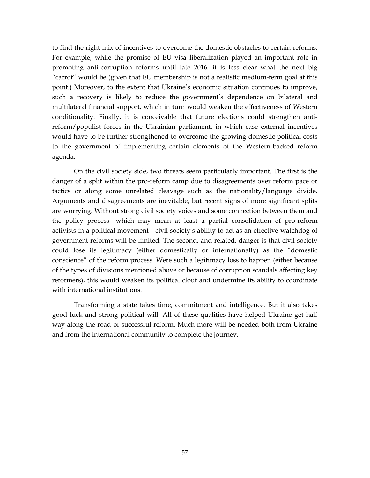to find the right mix of incentives to overcome the domestic obstacles to certain reforms. For example, while the promise of EU visa liberalization played an important role in promoting anti-corruption reforms until late 2016, it is less clear what the next big "carrot" would be (given that EU membership is not a realistic medium-term goal at this point.) Moreover, to the extent that Ukraine's economic situation continues to improve, such a recovery is likely to reduce the government's dependence on bilateral and multilateral financial support, which in turn would weaken the effectiveness of Western conditionality. Finally, it is conceivable that future elections could strengthen antireform/populist forces in the Ukrainian parliament, in which case external incentives would have to be further strengthened to overcome the growing domestic political costs to the government of implementing certain elements of the Western-backed reform agenda.

On the civil society side, two threats seem particularly important. The first is the danger of a split within the pro-reform camp due to disagreements over reform pace or tactics or along some unrelated cleavage such as the nationality/language divide. Arguments and disagreements are inevitable, but recent signs of more significant splits are worrying. Without strong civil society voices and some connection between them and the policy process—which may mean at least a partial consolidation of pro-reform activists in a political movement—civil society's ability to act as an effective watchdog of government reforms will be limited. The second, and related, danger is that civil society could lose its legitimacy (either domestically or internationally) as the "domestic conscience" of the reform process. Were such a legitimacy loss to happen (either because of the types of divisions mentioned above or because of corruption scandals affecting key reformers), this would weaken its political clout and undermine its ability to coordinate with international institutions.

Transforming a state takes time, commitment and intelligence. But it also takes good luck and strong political will. All of these qualities have helped Ukraine get half way along the road of successful reform. Much more will be needed both from Ukraine and from the international community to complete the journey.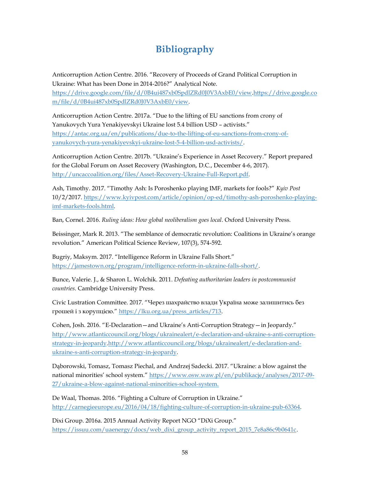## **Bibliography**

<span id="page-62-0"></span>Anticorruption Action Centre. 2016. "Recovery of Proceeds of Grand Political Corruption in Ukraine: What has been Done in 2014-2016?" Analytical Note. [https://drive.google.com/file/d/0B4ui487xb0SpdlZRd0J0V3AxbE0/view.](https://drive.google.com/file/d/0B4ui487xb0SpdlZRd0J0V3AxbE0/view)https://drive.google.co m/file/d/0B4ui487xb0SpdlZRd0J0V3AxbE0/view.

Anticorruption Action Centre. 2017a. "Due to the lifting of EU sanctions from crony of Yanukovych Yura Yenakiyevskyi Ukraine lost 5.4 billion USD – activists." [https://antac.org.ua/en/publications/due-to-the-lifting-of-eu-sanctions-from-crony-of](https://antac.org.ua/en/publications/due-to-the-lifting-of-eu-sanctions-from-crony-of-yanukovych-yura-yenakiyevskyi-ukraine-lost-5-4-billion-usd-activists/)[yanukovych-yura-yenakiyevskyi-ukraine-lost-5-4-billion-usd-activists/.](https://antac.org.ua/en/publications/due-to-the-lifting-of-eu-sanctions-from-crony-of-yanukovych-yura-yenakiyevskyi-ukraine-lost-5-4-billion-usd-activists/)

Anticorruption Action Centre. 2017b. "Ukraine's Experience in Asset Recovery." Report prepared for the Global Forum on Asset Recovery (Washington, D.C., December 4-6, 2017). [http://uncaccoalition.org/files/Asset-Recovery-Ukraine-Full-Report.pdf.](http://uncaccoalition.org/files/Asset-Recovery-Ukraine-Full-Report.pdf)

Ash, Timothy. 2017. "Timothy Ash: Is Poroshenko playing IMF, markets for fools?" *Kyiv Post* 10/2/2017. [https://www.kyivpost.com/article/opinion/op-ed/timothy-ash-poroshenko-playing](https://www.kyivpost.com/article/opinion/op-ed/timothy-ash-poroshenko-playing-imf-markets-fools.html)[imf-markets-fools.html.](https://www.kyivpost.com/article/opinion/op-ed/timothy-ash-poroshenko-playing-imf-markets-fools.html)

Ban, Cornel. 2016. *Ruling ideas: How global neoliberalism goes local*. Oxford University Press.

Beissinger, Mark R. 2013. "The semblance of democratic revolution: Coalitions in Ukraine's orange revolution." American Political Science Review, 107(3), 574-592.

Bugriy, Maksym. 2017. "Intelligence Reform in Ukraine Falls Short." [https://jamestown.org/program/intelligence-reform-in-ukraine-falls-short/.](https://jamestown.org/program/intelligence-reform-in-ukraine-falls-short/)

Bunce, Valerie. J., & Sharon L. Wolchik. 2011. *Defeating authoritarian leaders in postcommunist countries*. Cambridge University Press.

Civic Lustration Committee. 2017. "Через шахрайство влади Україна може залишитись без грошей і з корупцією." [https://lku.org.ua/press\\_articles/713.](https://lku.org.ua/press_articles/713) 

Cohen, Josh. 2016. "E-Declaration—and Ukraine's Anti-Corruption Strategy—in Jeopardy." [http://www.atlanticcouncil.org/blogs/ukrainealert/e-declaration-and-ukraine-s-anti-corruption](http://www.atlanticcouncil.org/blogs/ukrainealert/e-declaration-and-ukraine-s-anti-corruption-strategy-in-jeopardy)[strategy-in-jeopardy.](http://www.atlanticcouncil.org/blogs/ukrainealert/e-declaration-and-ukraine-s-anti-corruption-strategy-in-jeopardy)http://www.atlanticcouncil.org/blogs/ukrainealert/e-declaration-andukraine-s-anti-corruption-strategy-in-jeopardy.

Dąborowski, Tomasz, Tomasz Piechal, and Andrzej Sadecki. 2017. "Ukraine: a blow against the national minorities' school system." [https://www.osw.waw.pl/en/publikacje/analyses/2017-09-](https://www.osw.waw.pl/en/publikacje/analyses/2017-09-27/ukraine-a-blow-against-national-minorities-school-system) [27/ukraine-a-blow-against-national-minorities-school-system.](https://www.osw.waw.pl/en/publikacje/analyses/2017-09-27/ukraine-a-blow-against-national-minorities-school-system)

De Waal, Thomas. 2016. "Fighting a Culture of Corruption in Ukraine." [http://carnegieeurope.eu/2016/04/18/fighting-culture-of-corruption-in-ukraine-pub-63364.](http://carnegieeurope.eu/2016/04/18/fighting-culture-of-corruption-in-ukraine-pub-63364)

Dixi Group. 2016a. 2015 Annual Activity Report NGO "DiXi Group." [https://issuu.com/uaenergy/docs/web\\_dixi\\_group\\_activity\\_report\\_2015\\_7e8a86c9b0641c.](https://issuu.com/uaenergy/docs/web_dixi_group_activity_report_2015_7e8a86c9b0641c)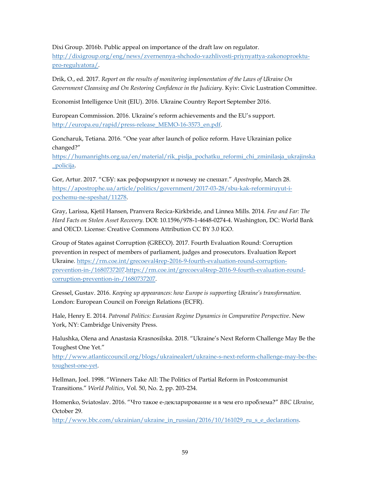Dixi Group. 2016b. Public appeal on importance of the draft law on regulator.

[http://dixigroup.org/eng/news/zvernennya-shchodo-vazhlivosti-priynyattya-zakonoproektu](http://dixigroup.org/eng/news/zvernennya-shchodo-vazhlivosti-priynyattya-zakonoproektu-pro-regulyatora/)[pro-regulyatora/.](http://dixigroup.org/eng/news/zvernennya-shchodo-vazhlivosti-priynyattya-zakonoproektu-pro-regulyatora/)

Drik, O., ed. 2017. *Report on the results of monitoring implementation of the Laws of Ukraine On Government Cleansing and On Restoring Confidence in the Judiciary*. Kyiv: Civic Lustration Committee.

Economist Intelligence Unit (EIU). 2016. Ukraine Country Report September 2016.

European Commission. 2016. Ukraine's reform achievements and the EU's support. [http://europa.eu/rapid/press-release\\_MEMO-16-3573\\_en.pdf.](http://europa.eu/rapid/press-release_MEMO-16-3573_en.pdf)

Goncharuk, Tetiana. 2016. "One year after launch of police reform. Have Ukrainian police changed?"

[https://humanrights.org.ua/en/material/rik\\_pislja\\_pochatku\\_reformi\\_chi\\_zminilasja\\_ukrajinska](https://humanrights.org.ua/en/material/rik_pislja_pochatku_reformi_chi_zminilasja_ukrajinska_policija) [\\_policija.](https://humanrights.org.ua/en/material/rik_pislja_pochatku_reformi_chi_zminilasja_ukrajinska_policija)

Gor, Artur. 2017. "СБУ: как реформируют и почему не спешат." *Apostrophe*, March 28. [https://apostrophe.ua/article/politics/government/2017-03-28/sbu-kak-reformiruyut-i](https://apostrophe.ua/article/politics/government/2017-03-28/sbu-kak-reformiruyut-i-pochemu-ne-speshat/11278)[pochemu-ne-speshat/11278.](https://apostrophe.ua/article/politics/government/2017-03-28/sbu-kak-reformiruyut-i-pochemu-ne-speshat/11278)

Gray, Larissa, Kjetil Hansen, Pranvera Recica-Kirkbride, and Linnea Mills. 2014. *Few and Far: The Hard Facts on Stolen Asset Recovery.* DOI: 10.1596/978-1-4648-0274-4. Washington, DC: World Bank and OECD. License: Creative Commons Attribution CC BY 3.0 IGO.

Group of States against Corruption (GRECO). 2017. Fourth Evaluation Round: Corruption prevention in respect of members of parliament, judges and prosecutors. Evaluation Report Ukraine. [https://rm.coe.int/grecoeval4rep-2016-9-fourth-evaluation-round-corruption](https://rm.coe.int/grecoeval4rep-2016-9-fourth-evaluation-round-corruption-prevention-in-/1680737207)[prevention-in-/1680737207.h](https://rm.coe.int/grecoeval4rep-2016-9-fourth-evaluation-round-corruption-prevention-in-/1680737207)ttps://rm.coe.int/grecoeval4rep-2016-9-fourth-evaluation-roundcorruption-prevention-in-/1680737207.

Gressel, Gustav. 2016. *Keeping up appearances: how Europe is supporting Ukraine's transformation.* London: European Council on Foreign Relations (ECFR).

Hale, Henry E. 2014. *Patronal Politics: Eurasian Regime Dynamics in Comparative Perspective*. New York, NY: Cambridge University Press.

Halushka, Olena and Anastasia Krasnosilska. 2018. "Ukraine's Next Reform Challenge May Be the Toughest One Yet."

[http://www.atlanticcouncil.org/blogs/ukrainealert/ukraine-s-next-reform-challenge-may-be-the](http://www.atlanticcouncil.org/blogs/ukrainealert/ukraine-s-next-reform-challenge-may-be-the-toughest-one-yet)[toughest-one-yet.](http://www.atlanticcouncil.org/blogs/ukrainealert/ukraine-s-next-reform-challenge-may-be-the-toughest-one-yet)

Hellman, Joel. 1998. "Winners Take All: The Politics of Partial Reform in Postcommunist Transitions." *World Politics*, Vol. 50, No. 2, pp. 203-234.

Homenko, Sviatoslav. 2016. "Что такое е-декларирование и в чем его проблема?" *BBC Ukraine*, October 29.

[http://www.bbc.com/ukrainian/ukraine\\_in\\_russian/2016/10/161029\\_ru\\_s\\_e\\_declarations.](http://www.bbc.com/ukrainian/ukraine_in_russian/2016/10/161029_ru_s_e_declarations)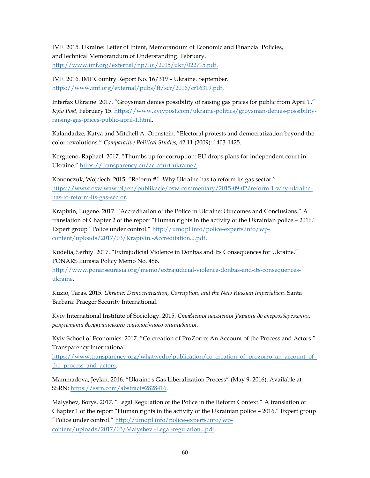IMF. 2015. Ukraine: Letter of Intent, Memorandum of Economic and Financial Policies, andTechnical Memorandum of Understanding. February. [http://www.imf.org/external/np/loi/2015/ukr/022715.pdf.](http://www.imf.org/external/np/loi/2015/ukr/022715.pdf)

IMF. 2016. IMF Country Report No. 16/319 – Ukraine. September. [https://www.imf.org/external/pubs/ft/scr/2016/cr16319.pdf.](https://www.imf.org/external/pubs/ft/scr/2016/cr16319.pdf)

Interfax Ukraine. 2017. "Groysman denies possibility of raising gas prices for public from April 1." *Kyiv Post,* February 15. [https://www.kyivpost.com/ukraine-politics/groysman-denies-possibility](https://www.kyivpost.com/ukraine-politics/groysman-denies-possibility-raising-gas-prices-public-april-1.html)[raising-gas-prices-public-april-1.html.](https://www.kyivpost.com/ukraine-politics/groysman-denies-possibility-raising-gas-prices-public-april-1.html)

Kalandadze, Katya and Mitchell A. Orenstein. "Electoral protests and democratization beyond the color revolutions." *Comparative Political Studies,* 42.11 (2009): 1403-1425.

Kergueno, Raphaël. 2017. "Thumbs up for corruption: EU drops plans for independent court in Ukraine." https://transparency.eu/ac-court-ukraine/.

Kononczuk, Wojciech. 2015. "Reform #1. Why Ukraine has to reform its gas sector." [https://www.osw.waw.pl/en/publikacje/osw-commentary/2015-09-02/reform-1-why-ukraine](https://www.osw.waw.pl/en/publikacje/osw-commentary/2015-09-02/reform-1-why-ukraine-has-to-reform-its-gas-sector)[has-to-reform-its-gas-sector.](https://www.osw.waw.pl/en/publikacje/osw-commentary/2015-09-02/reform-1-why-ukraine-has-to-reform-its-gas-sector)

Krapivin, Eugene. 2017. "Accreditation of the Police in Ukraine: Outcomes and Conclusions." A translation of Chapter 2 of the report "Human rights in the activity of the Ukrainian police – 2016." Expert group "Police under control." [http://umdpl.info/police-experts.info/wp](http://umdpl.info/police-experts.info/wp-content/uploads/2017/03/Krapivin.-Accreditation....pdf)[content/uploads/2017/03/Krapivin.-Accreditation....pdf.](http://umdpl.info/police-experts.info/wp-content/uploads/2017/03/Krapivin.-Accreditation....pdf)

Kudelia, Serhiy. 2017. "Extrajudicial Violence in Donbas and Its Consequences for Ukraine." PONARS Eurasia Policy Memo No. 486.

[http://www.ponarseurasia.org/memo/extrajudicial-violence-donbas-and-its-consequences](http://www.ponarseurasia.org/memo/extrajudicial-violence-donbas-and-its-consequences-ukraine)[ukraine.](http://www.ponarseurasia.org/memo/extrajudicial-violence-donbas-and-its-consequences-ukraine)

Kuzio, Taras. 2015. *Ukraine: Democratization, Corruption, and the New Russian Imperialism*. Santa Barbara: Praeger Security International.

Kyiv International Institute of Sociology. 2015. *Ставлення населення України до енергозбереження: результати всеукраїнського соціологічного опитування*.

Kyiv School of Economics. 2017. "Co-creation of ProZorro: An Account of the Process and Actors." Transparency International.

[https://www.transparency.org/whatwedo/publication/co\\_creation\\_of\\_prozorro\\_an\\_account\\_of\\_](https://www.transparency.org/whatwedo/publication/co_creation_of_prozorro_an_account_of_the_process_and_actors) [the\\_process\\_and\\_actors.](https://www.transparency.org/whatwedo/publication/co_creation_of_prozorro_an_account_of_the_process_and_actors)

Mammadova, Jeylan. 2016. "Ukraine's Gas Liberalization Process" (May 9, 2016). Available at SSRN: [https://ssrn.com/abstract=2828416.](https://ssrn.com/abstract=2828416) 

Malyshev, Borys. 2017. "Legal Regulation of the Police in the Reform Context." A translation of Chapter 1 of the report "Human rights in the activity of the Ukrainian police – 2016." Expert group "Police under control." [http://umdpl.info/police-experts.info/wp](http://umdpl.info/police-experts.info/wp-content/uploads/2017/03/Malyshev.-Legal-regulation...pdf)[content/uploads/2017/03/Malyshev.-Legal-regulation...pdf.](http://umdpl.info/police-experts.info/wp-content/uploads/2017/03/Malyshev.-Legal-regulation...pdf)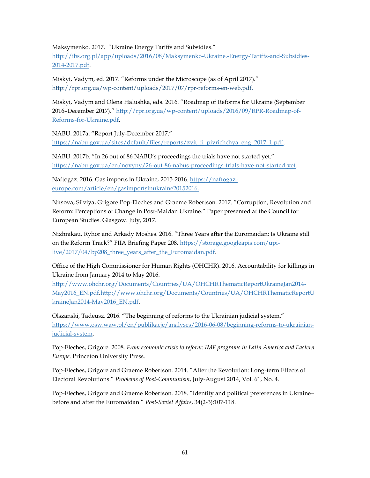Maksymenko. 2017. "Ukraine Energy Tariffs and Subsidies."

[http://ibs.org.pl/app/uploads/2016/08/Maksymenko-Ukraine.-Energy-Tariffs-and-Subsidies-](http://ibs.org.pl/app/uploads/2016/08/Maksymenko-Ukraine.-Energy-Tariffs-and-Subsidies-2014-2017.pdf)[2014-2017.pdf.](http://ibs.org.pl/app/uploads/2016/08/Maksymenko-Ukraine.-Energy-Tariffs-and-Subsidies-2014-2017.pdf)

Miskyi, Vadym, ed. 2017. "Reforms under the Microscope (as of April 2017)." http://rpr.org.ua/wp-content/uploads/2017/07/rpr-reforms-en-web.pdf.

Miskyi, Vadym and Olena Halushka, eds. 2016. "Roadmap of Reforms for Ukraine (September 2016–December 2017)." [http://rpr.org.ua/wp-content/uploads/2016/09/RPR-Roadmap-of-](http://rpr.org.ua/wp-content/uploads/2016/09/RPR-Roadmap-of-Reforms-for-Ukraine.pdf)[Reforms-for-Ukraine.pdf.](http://rpr.org.ua/wp-content/uploads/2016/09/RPR-Roadmap-of-Reforms-for-Ukraine.pdf)

NABU. 2017a. "Report July-December 2017." [https://nabu.gov.ua/sites/default/files/reports/zvit\\_ii\\_pivrichchya\\_eng\\_2017\\_1.pdf.](https://nabu.gov.ua/sites/default/files/reports/zvit_ii_pivrichchya_eng_2017_1.pdf)

NABU. 2017b. "In 26 out of 86 NABU's proceedings the trials have not started yet." [https://nabu.gov.ua/en/novyny/26-out-86-nabus-proceedings-trials-have-not-started-yet.](https://nabu.gov.ua/en/novyny/26-out-86-nabus-proceedings-trials-have-not-started-yet)

Naftogaz. 2016. Gas imports in Ukraine, 2015-2016. [https://naftogaz](https://naftogaz-europe.com/article/en/gasimportsinukraine20152016)[europe.com/article/en/gasimportsinukraine20152016.](https://naftogaz-europe.com/article/en/gasimportsinukraine20152016)

Nitsova, Silviya, Grigore Pop-Eleches and Graeme Robertson. 2017. "Corruption, Revolution and Reform: Perceptions of Change in Post-Maidan Ukraine." Paper presented at the Council for European Studies. Glasgow. July, 2017.

Nizhnikau, Ryhor and Arkady Moshes. 2016. "Three Years after the Euromaidan: Is Ukraine still on the Reform Track?" FIIA Briefing Paper 208. [https://storage.googleapis.com/upi](https://storage.googleapis.com/upi-live/2017/04/bp208_three_years_after_the_Euromaidan.pdf)[live/2017/04/bp208\\_three\\_years\\_after\\_the\\_Euromaidan.pdf.](https://storage.googleapis.com/upi-live/2017/04/bp208_three_years_after_the_Euromaidan.pdf)

Office of the High Commissioner for Human Rights (OHCHR). 2016. Accountability for killings in Ukraine from January 2014 to May 2016.

[http://www.ohchr.org/Documents/Countries/UA/OHCHRThematicReportUkraineJan2014-](http://www.ohchr.org/Documents/Countries/UA/OHCHRThematicReportUkraineJan2014-May2016_EN.pdf) [May2016\\_EN.pdf.](http://www.ohchr.org/Documents/Countries/UA/OHCHRThematicReportUkraineJan2014-May2016_EN.pdf)http://www.ohchr.org/Documents/Countries/UA/OHCHRThematicReportU kraineJan2014-May2016\_EN.pdf.

Olszanski, Tadeusz. 2016. "The beginning of reforms to the Ukrainian judicial system." [https://www.osw.waw.pl/en/publikacje/analyses/2016-06-08/beginning-reforms-to-ukrainian](https://www.osw.waw.pl/en/publikacje/analyses/2016-06-08/beginning-reforms-to-ukrainian-judicial-system)[judicial-system.](https://www.osw.waw.pl/en/publikacje/analyses/2016-06-08/beginning-reforms-to-ukrainian-judicial-system) 

Pop-Eleches, Grigore. 2008. *From economic crisis to reform: IMF programs in Latin America and Eastern Europe*. Princeton University Press.

Pop-Eleches, Grigore and Graeme Robertson. 2014. "After the Revolution: Long-term Effects of Electoral Revolutions." *Problems of Post-Communism*, July-August 2014, Vol. 61, No. 4.

Pop-Eleches, Grigore and Graeme Robertson. 2018. "Identity and political preferences in Ukraine– before and after the Euromaidan." *Post-Soviet Affairs*, 34(2-3):107-118.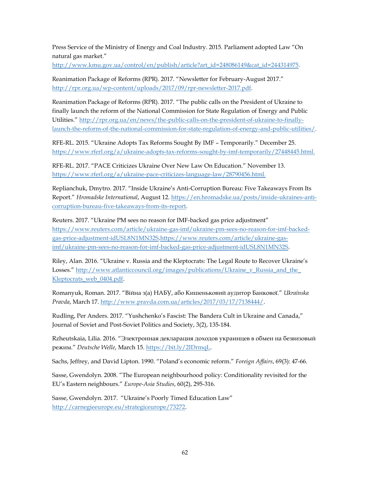Press Service of the Ministry of Energy and Coal Industry. 2015. Parliament adopted Law "On natural gas market."

[http://www.kmu.gov.ua/control/en/publish/article?art\\_id=248086149&cat\\_id=244314975.](http://www.kmu.gov.ua/control/en/publish/article?art_id=248086149&cat_id=244314975)

Reanimation Package of Reforms (RPR). 2017. "Newsletter for February-August 2017." [http://rpr.org.ua/wp-content/uploads/2017/09/rpr-newsletter-2017.pdf.](http://rpr.org.ua/wp-content/uploads/2017/09/rpr-newsletter-2017.pdf)

Reanimation Package of Reforms (RPR). 2017. "The public calls on the President of Ukraine to finally launch the reform of the National Commission for State Regulation of Energy and Public Utilities." [http://rpr.org.ua/en/news/the-public-calls-on-the-president-of-ukraine-to-finally](http://rpr.org.ua/en/news/the-public-calls-on-the-president-of-ukraine-to-finally-launch-the-reform-of-the-national-commission-for-state-regulation-of-energy-and-public-utilities/)[launch-the-reform-of-the-national-commission-for-state-regulation-of-energy-and-public-utilities/.](http://rpr.org.ua/en/news/the-public-calls-on-the-president-of-ukraine-to-finally-launch-the-reform-of-the-national-commission-for-state-regulation-of-energy-and-public-utilities/)

RFE-RL. 2015. "Ukraine Adopts Tax Reforms Sought By IMF – Temporarily." December 25. [https://www.rferl.org/a/ukraine-adopts-tax-reforms-sought-by-imf-temporarily/27448445.html.](https://www.rferl.org/a/ukraine-adopts-tax-reforms-sought-by-imf-temporarily/27448445.html)

RFE-RL. 2017. "PACE Criticizes Ukraine Over New Law On Education." November 13. [https://www.rferl.org/a/ukraine-pace-criticizes-language-law/28790456.html.](https://www.rferl.org/a/ukraine-pace-criticizes-language-law/28790456.html)

Replianchuk, Dmytro. 2017. "Inside Ukraine's Anti-Corruption Bureau: Five Takeaways From Its Report." *Hromadske International*, August 12. [https://en.hromadske.ua/posts/inside-ukraines-anti](https://en.hromadske.ua/posts/inside-ukraines-anti-corruption-bureau-five-takeaways-from-its-report)[corruption-bureau-five-takeaways-from-its-report.](https://en.hromadske.ua/posts/inside-ukraines-anti-corruption-bureau-five-takeaways-from-its-report)

Reuters. 2017. "Ukraine PM sees no reason for IMF-backed gas price adjustment" [https://www.reuters.com/article/ukraine-gas-imf/ukraine-pm-sees-no-reason-for-imf-backed](https://www.reuters.com/article/ukraine-gas-imf/ukraine-pm-sees-no-reason-for-imf-backed-gas-price-adjustment-idUSL8N1MN32S)[gas-price-adjustment-idUSL8N1MN32S.](https://www.reuters.com/article/ukraine-gas-imf/ukraine-pm-sees-no-reason-for-imf-backed-gas-price-adjustment-idUSL8N1MN32S)https://www.reuters.com/article/ukraine-gasimf/ukraine-pm-sees-no-reason-for-imf-backed-gas-price-adjustment-idUSL8N1MN32S.

Riley, Alan. 2016. "Ukraine v. Russia and the Kleptocrats: The Legal Route to Recover Ukraine's Losses." [http://www.atlanticcouncil.org/images/publications/Ukraine\\_v\\_Russia\\_and\\_the\\_](http://www.atlanticcouncil.org/images/publications/Ukraine_v_Russia_and_the_Kleptocrats_web_0404.pdf) [Kleptocrats\\_web\\_0404.pdf.](http://www.atlanticcouncil.org/images/publications/Ukraine_v_Russia_and_the_Kleptocrats_web_0404.pdf)

Romanyuk, Roman. 2017. "Війна з(а) НАБУ, або Кишеньковий аудитор Банкової." *Ukraïnska Pravda*, March 17. [http://www.pravda.com.ua/articles/2017/03/17/7138444/.](http://www.pravda.com.ua/articles/2017/03/17/7138444/) 

Rudling, Per Anders. 2017. "Yushchenko's Fascist: The Bandera Cult in Ukraine and Canada," Journal of Soviet and Post-Soviet Politics and Society, 3(2), 135-184.

Rzheutskaia, Lilia. 2016. "Электронная декларация доходов украинцев в обмен на безвизовый режим." *Deutsche Welle*, March 15. [https://bit.ly/2IDrmqL.](https://bit.ly/2IDrmqL)

Sachs, Jeffrey, and David Lipton. 1990. "Poland's economic reform." *Foreign Affairs*, 69(3): 47-66.

Sasse, Gwendolyn. 2008. "The European neighbourhood policy: Conditionality revisited for the EU's Eastern neighbours." *Europe-Asia Studies*, 60(2), 295-316.

Sasse, Gwendolyn. 2017. "Ukraine's Poorly Timed Education Law" [http://carnegieeurope.eu/strategiceurope/73272.](http://carnegieeurope.eu/strategiceurope/73272)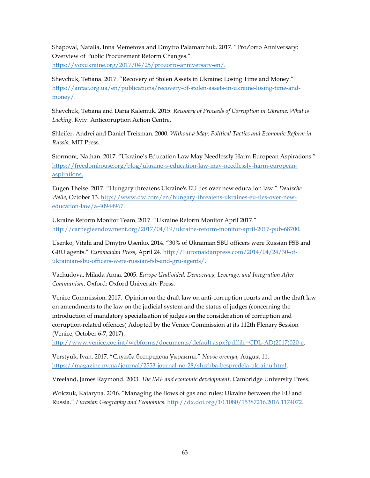Shapoval, Natalia, Inna Memetova and Dmytro Palamarchuk. 2017. "ProZorro Anniversary: Overview of Public Procurement Reform Сhanges." [https://voxukraine.org/2017/04/25/prozorro-anniversary-en/.](https://voxukraine.org/2017/04/25/prozorro-anniversary-en/)

Shevchuk, Tetiana. 2017. "Recovery of Stolen Assets in Ukraine: Losing Time and Money." [https://antac.org.ua/en/publications/recovery-of-stolen-assets-in-ukraine-losing-time-and](https://antac.org.ua/en/publications/recovery-of-stolen-assets-in-ukraine-losing-time-and-money/)[money/.](https://antac.org.ua/en/publications/recovery-of-stolen-assets-in-ukraine-losing-time-and-money/)

Shevchuk, Tetiana and Daria Kaleniuk. 2015. *Recovery of Proceeds of Corruption in Ukraine: What is Lacking*. Kyiv: Anticorruption Action Centre.

Shleifer, Andrei and Daniel Treisman. 2000. *Without a Map: Political Tactics and Economic Reform in Russia*. MIT Press.

Stormont, Nathan. 2017. "Ukraine's Education Law May Needlessly Harm European Aspirations." [https://freedomhouse.org/blog/ukraine-s-education-law-may-needlessly-harm-european](https://freedomhouse.org/blog/ukraine-s-education-law-may-needlessly-harm-european-aspirations)[aspirations.](https://freedomhouse.org/blog/ukraine-s-education-law-may-needlessly-harm-european-aspirations)

Eugen Theise. 2017. "Hungary threatens Ukraine's EU ties over new education law." *Deutsche Welle*, October 13. [http://www.dw.com/en/hungary-threatens-ukraines-eu-ties-over-new](http://www.dw.com/en/hungary-threatens-ukraines-eu-ties-over-new-education-law/a-40944967)[education-law/a-40944967.](http://www.dw.com/en/hungary-threatens-ukraines-eu-ties-over-new-education-law/a-40944967)

Ukraine Reform Monitor Team. 2017. "Ukraine Reform Monitor April 2017." [http://carnegieendowment.org/2017/04/19/ukraine-reform-monitor-april-2017-pub-68700.](http://carnegieendowment.org/2017/04/19/ukraine-reform-monitor-april-2017-pub-68700)

Usenko, Vitalii and Dmytro Usenko. 2014. "30% of Ukrainian SBU officers were Russian FSB and GRU agents." *Euromaidan Press*, April 24. [http://Euromaidanpress.com/2014/04/24/30-of](http://euromaidanpress.com/2014/04/24/30-of-ukrainian-sbu-officers-were-russian-fsb-and-gru-agents/)[ukrainian-sbu-officers-were-russian-fsb-and-gru-agents/.](http://euromaidanpress.com/2014/04/24/30-of-ukrainian-sbu-officers-were-russian-fsb-and-gru-agents/)

Vachudova, Milada Anna. 2005. *Europe Undivided: Democracy, Leverage, and Integration After Communism*. Oxford: Oxford University Press.

Venice Commission. 2017. Opinion on the draft law on anti-corruption courts and on the draft law on amendments to the law on the judicial system and the status of judges (concerning the introduction of mandatory specialisation of judges on the consideration of corruption and corruption-related offences) Adopted by the Venice Commission at its 112th Plenary Session (Venice, October 6-7, 2017).

[http://www.venice.coe.int/webforms/documents/default.aspx?pdffile=CDL-AD\(2017\)020-e.](http://www.venice.coe.int/webforms/documents/default.aspx?pdffile=CDL-AD(2017)020-e)

Verstyuk, Ivan. 2017. "Служба беспредела Украины." *Novoe vremya*, August 11. [https://magazine.nv.ua/journal/2553-journal-no-28/sluzhba-bespredela-ukrainu.html.](https://magazine.nv.ua/journal/2553-journal-no-28/sluzhba-bespredela-ukrainu.html)

Vreeland, James Raymond. 2003. *The IMF and economic development*. Cambridge University Press.

Wolczuk, Kataryna. 2016. "Managing the flows of gas and rules: Ukraine between the EU and Russia." *Eurasian Geography and Economics.* [http://dx.doi.org/10.1080/15387216.2016.1174072.](http://dx.doi.org/10.1080/15387216.2016.1174072)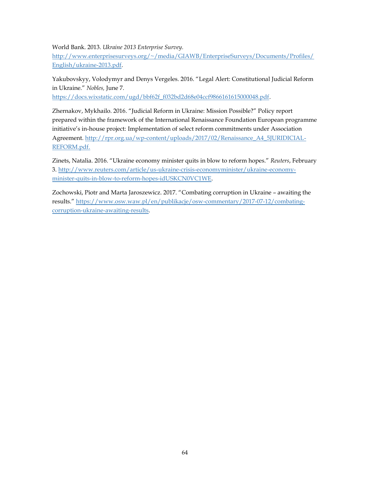World Bank. 2013. *Ukraine 2013 Enterprise Survey.*

[http://www.enterprisesurveys.org/~/media/GIAWB/EnterpriseSurveys/Documents/Profiles/](http://www.enterprisesurveys.org/~/media/GIAWB/EnterpriseSurveys/Documents/Profiles/English/ukraine-2013.pdf) [English/ukraine-2013.pdf.](http://www.enterprisesurveys.org/~/media/GIAWB/EnterpriseSurveys/Documents/Profiles/English/ukraine-2013.pdf)

Yakubovskyy, Volodymyr and Denys Vergeles. 2016. "Legal Alert: Constitutional Judicial Reform in Ukraine." *Nobles,* June 7.

[https://docs.wixstatic.com/ugd/bbf62f\\_f032bd2d68e04ccf9866161615000048.pdf.](https://docs.wixstatic.com/ugd/bbf62f_f032bd2d68e04ccf9866161615000048.pdf)

Zhernakov, Mykhailo. 2016. "Judicial Reform in Ukraine: Mission Possible?" Policy report prepared within the framework of the International Renaissance Foundation European programme initiative's in-house project: Implementation of select reform commitments under Association Agreement. [http://rpr.org.ua/wp-content/uploads/2017/02/Renaissance\\_A4\\_5JURIDICIAL-](http://rpr.org.ua/wp-content/uploads/2017/02/Renaissance_A4_5JURIDICIAL-REFORM.pdf)[REFORM.pdf.](http://rpr.org.ua/wp-content/uploads/2017/02/Renaissance_A4_5JURIDICIAL-REFORM.pdf)

Zinets, Natalia. 2016. "Ukraine economy minister quits in blow to reform hopes." *Reuters*, February 3. http://www.reuters.com/article/us-ukraine-crisis-economyminister/ukraine-economyminister-quits-in-blow-to-reform-hopes-idUSKCN0VC1WE.

Zochowski, Piotr and Marta Jaroszewicz. 2017. "Combating corruption in Ukraine – awaiting the results." [https://www.osw.waw.pl/en/publikacje/osw-commentary/2017-07-12/combating](https://www.osw.waw.pl/en/publikacje/osw-commentary/2017-07-12/combating-corruption-ukraine-awaiting-results)[corruption-ukraine-awaiting-results.](https://www.osw.waw.pl/en/publikacje/osw-commentary/2017-07-12/combating-corruption-ukraine-awaiting-results)